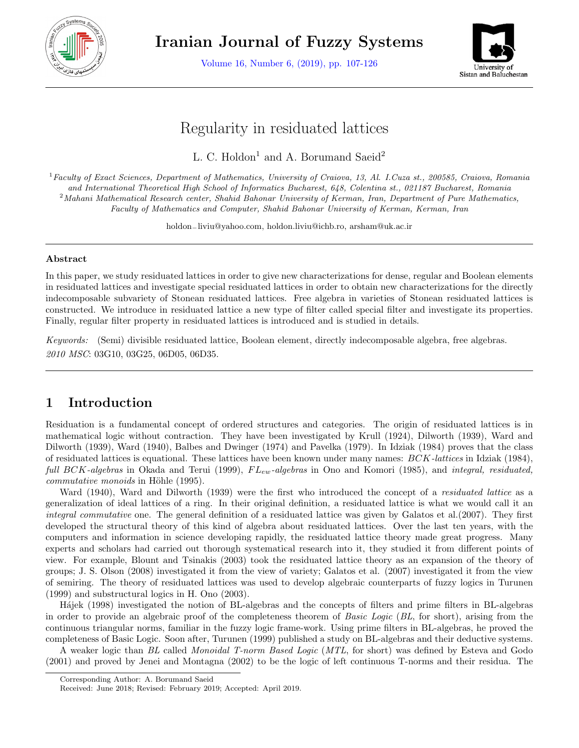

**Iranian Journal of Fuzzy Systems**

Volume 16, Number 6, (2019), pp. 107-126



# Regularity in residuated lattices

L. C. Holdon<sup>1</sup> and A. Borumand Saeid<sup>2</sup>

<sup>1</sup>*Faculty of Exact Sciences, Department of Mathematics, University of Craiova, 13, Al. I.Cuza st., 200585, Craiova, Romania and International Theoretical High School of Informatics Bucharest, 648, Colentina st., 021187 Bucharest, Romania* <sup>2</sup>*Mahani Mathematical Research center, Shahid Bahonar University of Kerman, Iran, Department of Pure Mathematics, Faculty of Mathematics and Computer, Shahid Bahonar University of Kerman, Kerman, Iran*

holdon*−*liviu@yahoo.com, holdon.liviu@ichb.ro, arsham@uk.ac.ir

#### **Abstract**

In this paper, we study residuated lattices in order to give new characterizations for dense, regular and Boolean elements in residuated lattices and investigate special residuated lattices in order to obtain new characterizations for the directly indecomposable subvariety of Stonean residuated lattices. Free algebra in varieties of Stonean residuated lattices is constructed. We introduce in residuated lattice a new type of filter called special filter and investigate its properties. Finally, regular filter property in residuated lattices is introduced and is studied in details.

*Keywords:* (Semi) divisible residuated lattice, Boolean element, directly indecomposable algebra, free algebras. *2010 MSC*: 03G10, 03G25, 06D05, 06D35.

# **1 Introduction**

Residuation is a fundamental concept of ordered structures and categories. The origin of residuated lattices is in mathematical logic without contraction. They have been investigated by Krull (1924), Dilworth (1939), Ward and Dilworth (1939), Ward (1940), Balbes and Dwinger (1974) and Pavelka (1979). In Idziak (1984) proves that the class of residuated lattices is equational. These lattices have been known under many names: *BCK-lattices* in Idziak (1984), *full BCK-algebras* in Okada and Terui (1999), *F Lew-algebras* in Ono and Komori (1985), and *integral, residuated, commutative monoids* in Höhle (1995).

Ward (1940), Ward and Dilworth (1939) were the first who introduced the concept of a *residuated lattice* as a generalization of ideal lattices of a ring. In their original definition, a residuated lattice is what we would call it an *integral commutative* one. The general definition of a residuated lattice was given by Galatos et al.(2007). They first developed the structural theory of this kind of algebra about residuated lattices. Over the last ten years, with the computers and information in science developing rapidly, the residuated lattice theory made great progress. Many experts and scholars had carried out thorough systematical research into it, they studied it from different points of view. For example, Blount and Tsinakis (2003) took the residuated lattice theory as an expansion of the theory of groups; J. S. Olson (2008) investigated it from the view of variety; Galatos et al. (2007) investigated it from the view of semiring. The theory of residuated lattices was used to develop algebraic counterparts of fuzzy logics in Turunen (1999) and substructural logics in H. Ono (2003).

H´ajek (1998) investigated the notion of BL-algebras and the concepts of filters and prime filters in BL-algebras in order to provide an algebraic proof of the completeness theorem of *Basic Logic* (*BL*, for short), arising from the continuous triangular norms, familiar in the fuzzy logic frame-work. Using prime filters in BL-algebras, he proved the completeness of Basic Logic. Soon after, Turunen (1999) published a study on BL-algebras and their deductive systems.

A weaker logic than *BL* called *Monoidal T-norm Based Logic* (*MTL*, for short) was defined by Esteva and Godo (2001) and proved by Jenei and Montagna (2002) to be the logic of left continuous T-norms and their residua. The

Corresponding Author: A. Borumand Saeid

Received: June 2018; Revised: February 2019; Accepted: April 2019.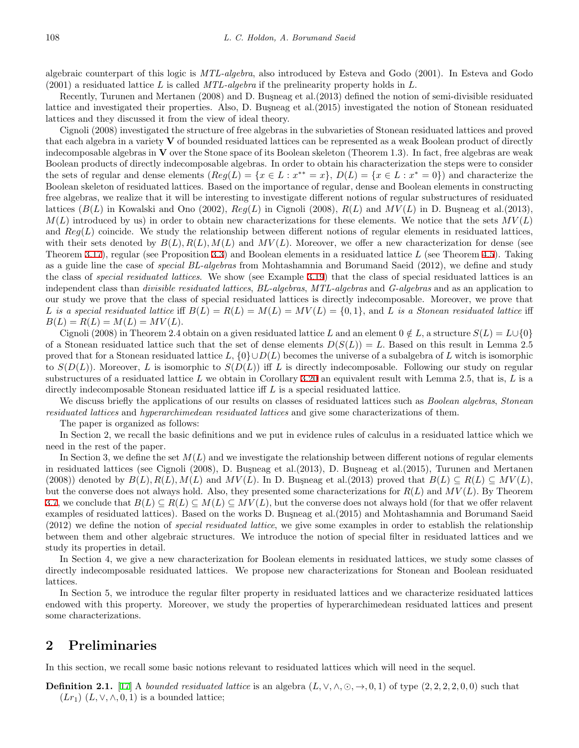algebraic counterpart of this logic is *MTL-algebra*, also introduced by Esteva and Godo (2001). In Esteva and Godo (2001) a residuated lattice *L* is called *MTL-algebra* if the prelinearity property holds in *L.*

Recently, Turunen and Mertanen (2008) and D. Busneag et al. (2013) defined the notion of semi-divisible residuated lattice and investigated their properties. Also, D. Busneag et al. (2015) investigated the notion of Stonean residuated lattices and they discussed it from the view of ideal theory.

Cignoli (2008) investigated the structure of free algebras in the subvarieties of Stonean residuated lattices and proved that each algebra in a variety **V** of bounded residuated lattices can be represented as a weak Boolean product of directly indecomposable algebras in **V** over the Stone space of its Boolean skeleton (Theorem 1*.*3). In fact, free algebras are weak Boolean products of directly indecomposable algebras. In order to obtain his characterization the steps were to consider the sets of regular and dense elements  $(Reg(L) = \{x \in L : x^{**} = x\}, D(L) = \{x \in L : x^* = 0\})$  and characterize the Boolean skeleton of residuated lattices. Based on the importance of regular, dense and Boolean elements in constructing free algebras, we realize that it will be interesting to investigate different notions of regular substructures of residuated lattices  $(B(L)$  in Kowalski and Ono (2002),  $Reg(L)$  in Cignoli (2008),  $R(L)$  and  $MV(L)$  in D. Busneag et al.(2013),  $M(L)$  introduced by us) in order to obtain new characterizations for these elements. We notice that the sets  $MV(L)$ and  $Reg(L)$  coincide. We study the relationship between different notions of regular elements in residuated lattices, with their sets denoted by  $B(L)$ ,  $R(L)$ ,  $M(L)$  and  $MV(L)$ . Moreover, we offer a new characterization for dense (see Theorem [3.17\)](#page-9-0), regular (see Proposition [3.3\)](#page-5-0) and Boolean elements in a residuated lattice *L* (see Theorem [4.5\)](#page-13-0). Taking as a guide line the case of *special BL-algebras* from Mohtashamnia and Borumand Saeid (2012), we define and study the class of *special residuated lattices*. We show (see Example [3.19\)](#page-9-1) that the class of special residuated lattices is an independent class than *divisible residuated lattices*, *BL-algebras*, *MTL-algebras* and *G-algebras* and as an application to our study we prove that the class of special residuated lattices is directly indecomposable. Moreover, we prove that L is a special residuated lattice iff  $B(L) = R(L) = M(L) = MV(L) = \{0,1\}$ , and L is a Stonean residuated lattice iff  $B(L) = R(L) = M(L) = MV(L)$ .

Cignoli (2008) in Theorem 2.4 obtain on a given residuated lattice *L* and an element  $0 \notin L$ , a structure  $S(L) = L \cup \{0\}$ of a Stonean residuated lattice such that the set of dense elements  $D(S(L)) = L$ . Based on this result in Lemma 2.5 proved that for a Stonean residuated lattice *L, {*0*}∪D*(*L*) becomes the universe of a subalgebra of *L* witch is isomorphic to  $S(D(L))$ . Moreover, *L* is isomorphic to  $S(D(L))$  iff *L* is directly indecomposable. Following our study on regular substructures of a residuated lattice *L* we obtain in Corollary [3.20](#page-10-0) an equivalent result with Lemma 2*.*5*,* that is, *L* is a directly indecomposable Stonean residuated lattice iff *L* is a special residuated lattice.

We discuss briefly the applications of our results on classes of residuated lattices such as *Boolean algebras*, *Stonean residuated lattices* and *hyperarchimedean residuated lattices* and give some characterizations of them.

The paper is organized as follows:

In Section 2, we recall the basic definitions and we put in evidence rules of calculus in a residuated lattice which we need in the rest of the paper.

In Section 3, we define the set  $M(L)$  and we investigate the relationship between different notions of regular elements in residuated lattices (see Cignoli (2008), D. Busneag et al. (2013), D. Busneag et al. (2015), Turunen and Mertanen  $(2008)$  denoted by  $B(L), R(L), M(L)$  and  $MV(L)$ . In D. Busneag et al. (2013) proved that  $B(L) \subseteq R(L) \subseteq MV(L)$ , but the converse does not always hold. Also, they presented some characterizations for  $R(L)$  and  $MV(L)$ . By Theorem [3.7,](#page-6-0) we conclude that  $B(L) \subseteq R(L) \subseteq M(L) \subseteq MV(L)$ , but the converse does not always hold (for that we offer relavent examples of residuated lattices). Based on the works D. Buşneag et al.(2015) and Mohtashamnia and Borumand Saeid (2012) we define the notion of *special residuated lattice*, we give some examples in order to establish the relationship between them and other algebraic structures. We introduce the notion of special filter in residuated lattices and we study its properties in detail.

In Section 4*,* we give a new characterization for Boolean elements in residuated lattices, we study some classes of directly indecomposable residuated lattices. We propose new characterizations for Stonean and Boolean residuated lattices.

In Section 5*,* we introduce the regular filter property in residuated lattices and we characterize residuated lattices endowed with this property. Moreover, we study the properties of hyperarchimedean residuated lattices and present some characterizations.

# **2 Preliminaries**

In this section, we recall some basic notions relevant to residuated lattices which will need in the sequel.

**Definition 2.1.** [\[17](#page-18-0)] A bounded residuated lattice is an algebra  $(L, \vee, \wedge, \odot, \rightarrow, 0, 1)$  of type  $(2, 2, 2, 2, 0, 0)$  such that  $(Lr_1)$   $(L, \vee, \wedge, 0, 1)$  is a bounded lattice;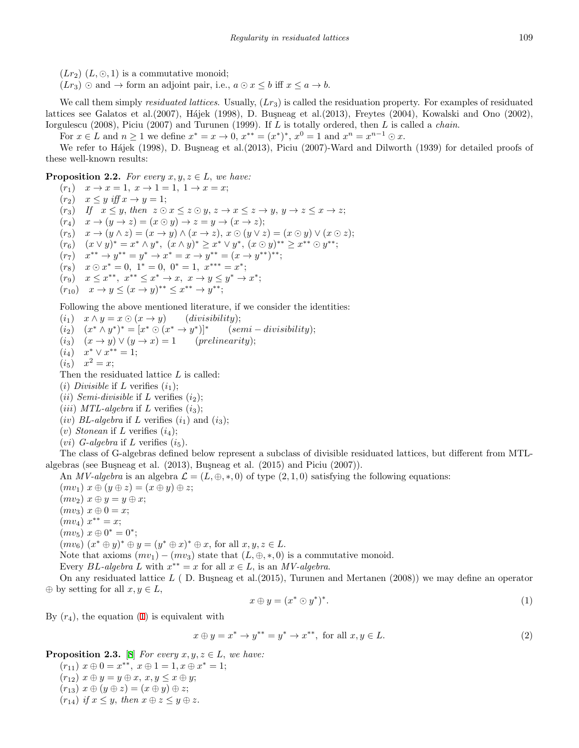$(Lr_2)$   $(L, \odot, 1)$  is a commutative monoid;

 $(Lr_3) \odot$  and  $\rightarrow$  form an adjoint pair, i.e.,  $a \odot x \leq b$  iff  $x \leq a \rightarrow b$ .

We call them simply *residuated lattices*. Usually, (*Lr*3) is called the residuation property. For examples of residuated lattices see Galatos et al.(2007), Hájek (1998), D. Buşneag et al.(2013), Freytes (2004), Kowalski and Ono (2002), Iorgulescu (2008), Piciu (2007) and Turunen (1999). If *L* is totally ordered, then *L* is called a *chain*.

For  $x \in L$  and  $n \ge 1$  we define  $x^* = x \to 0$ ,  $x^{**} = (x^*)^*$ ,  $x^0 = 1$  and  $x^n = x^{n-1} \odot x$ .

We refer to Hájek (1998), D. Busneag et al. (2013), Piciu (2007)-Ward and Dilworth (1939) for detailed proofs of these well-known results:

<span id="page-2-3"></span>**Proposition 2.2.** *For every*  $x, y, z \in L$ , *we have:* 

 $(r_1)$   $x \to x = 1, x \to 1 = 1, 1 \to x = x;$  $(r_2)$   $x \leq y$  *iff*  $x \to y = 1$ ;  $(r_3)$  If  $x \leq y$ , then  $z \odot x \leq z \odot y$ ,  $z \rightarrow x \leq z \rightarrow y$ ,  $y \rightarrow z \leq x \rightarrow z$ ;  $(r_4)$   $x \to (y \to z) = (x \odot y) \to z = y \to (x \to z);$  $(r_5)$   $x \to (y \land z) = (x \to y) \land (x \to z), x \odot (y \lor z) = (x \odot y) \lor (x \odot z);$  $(r_6)$   $(x \vee y)^* = x^* \wedge y^*, \ (x \wedge y)^* \geq x^* \vee y^*, \ (x \odot y)^{**} \geq x^{**} \odot y^{**};$  $(r_7)$   $x^{**} \to y^{**} = y^* \to x^* = x \to y^{**} = (x \to y^{**})^{**};$  $(r_8)$   $x \odot x^* = 0$ ,  $1^* = 0$ ,  $0^* = 1$ ,  $x^{***} = x^*$ ;  $(r_9)$   $x \leq x^{**}, x^{**} \leq x^* \to x, x \to y \leq y^* \to x^*;$  $(r_{10})$   $x \to y \leq (x \to y)^{**} \leq x^{**} \to y^{**};$ 

Following the above mentioned literature, if we consider the identities:

 $(i_1)$   $x \wedge y = x \odot (x \rightarrow y)$  (*divisibility*);  $(i_2)$   $(x^* \wedge y^*)^* = [x^* \odot (x^* \rightarrow y^*)]^*$ (*semi − divisibility*);  $(i_3)$   $(x \rightarrow y) \vee (y \rightarrow x) = 1$  (*prelinearity*);  $(i_4)$   $x^* \vee x^{**} = 1;$  $(i_5)$   $x^2 = x;$ Then the residuated lattice *L* is called: (*i*) *Divisible* if *L* verifies  $(i_1)$ ;

(*ii*) *Semi-divisible* if *L* verifies  $(i_2)$ ;

 $(iii) MTL-algebra$  if *L* verifies  $(i_3)$ ;

(*iv*) *BL*-algebra if *L* verifies  $(i_1)$  and  $(i_3)$ ;

(*v*) *Stonean* if *L* verifies  $(i_4)$ ;

 $(vi)$  *G-algebra* if *L* verifies  $(i_5)$ *.* 

The class of G-algebras defined below represent a subclass of divisible residuated lattices, but different from MTLalgebras (see Buşneag et al.  $(2013)$ , Buşneag et al.  $(2015)$  and Piciu  $(2007)$ ).

An *MV-algebra* is an algebra  $\mathcal{L} = (L, \oplus, *, 0)$  of type  $(2, 1, 0)$  satisfying the following equations:

 $(mv_1)$   $x \oplus (y \oplus z) = (x \oplus y) \oplus z;$  $(mv_2)$   $x \oplus y = y \oplus x;$  $(mv_3) x \oplus 0 = x;$  $(mv_4)$   $x^{**} = x;$ 

 $(mv_5)$   $x \oplus 0^* = 0^*$ ;

 $(mv_6)$   $(x^* \oplus y)^* \oplus y = (y^* \oplus x)^* \oplus x$ , for all  $x, y, z \in L$ .

Note that axioms  $(mv_1) - (mv_3)$  state that  $(L, \oplus, *, 0)$  is a commutative monoid.

Every *BL*-algebra *L* with  $x^{**} = x$  for all  $x \in L$ , is an *MV-algebra*.

On any residuated lattice L (D. Busneag et al. (2015), Turunen and Mertanen (2008)) we may define an operator  $\oplus$  by setting for all  $x, y \in L$ ,

<span id="page-2-1"></span>
$$
x \oplus y = (x^* \odot y^*)^*.
$$
 (1)

By  $(r_4)$ , the equation  $(1)$  $(1)$  is equivalent with

<span id="page-2-0"></span>
$$
x \oplus y = x^* \to y^{**} = y^* \to x^{**}, \text{ for all } x, y \in L. \tag{2}
$$

<span id="page-2-2"></span>**Proposition 2.3.** [[8\]](#page-18-1) *For every*  $x, y, z \in L$ *, we have:* 

 $(r_{11})$   $x \oplus 0 = x^{**}, x \oplus 1 = 1, x \oplus x^{*} = 1;$  $(r_{12})$   $x \oplus y = y \oplus x, x, y \leq x \oplus y;$  $(r_{13})$   $x \oplus (y \oplus z) = (x \oplus y) \oplus z;$ 

 $(r_{14})$  *if*  $x \leq y$ , *then*  $x \oplus z \leq y \oplus z$ .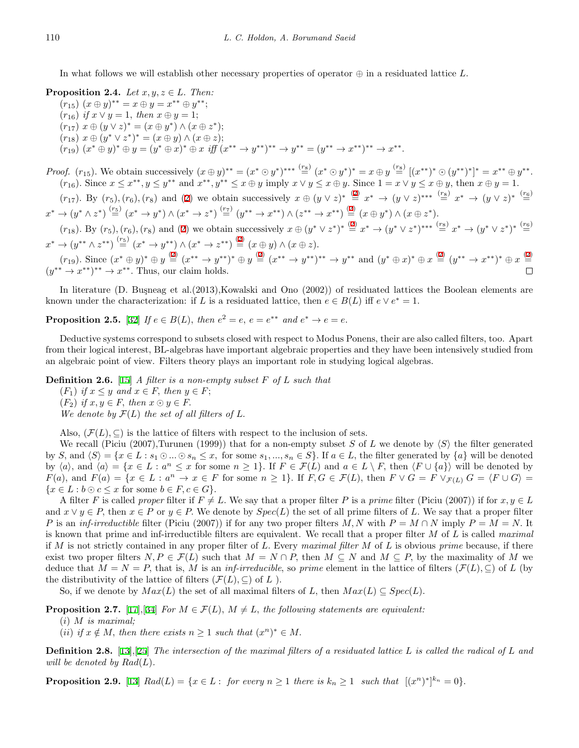In what follows we will establish other necessary properties of operator *⊕* in a residuated lattice *L.*

**Proposition 2.4.** *Let*  $x, y, z \in L$ . *Then:* 

 $(r_{15})$   $(x \oplus y)^{**} = x \oplus y = x^{**} \oplus y^{**};$  $(r_{16})$  *if*  $x \lor y = 1$ *, then*  $x \oplus y = 1$ ;

- $(r_{17})$   $x \oplus (y \vee z)^* = (x \oplus y^*) \wedge (x \oplus z^*);$
- $(r_{18})$   $x \oplus (y^* \vee z^*)^* = (x \oplus y) \wedge (x \oplus z);$
- $(r_{19})$   $(x^*\oplus y)^*\oplus y = (y^*\oplus x)^*\oplus x$  iff  $(x^{**}\rightarrow y^{**})^{**}\rightarrow y^{**} = (y^{**}\rightarrow x^{**})^{**}\rightarrow x^{**}.$

*Proof.*  $(r_{15})$ . We obtain successively  $(x \oplus y)^{**} = (x^* \odot y^*)^{***} \stackrel{(r_8)}{=} (x^* \odot y^*)^* = x \oplus y \stackrel{(r_8)}{=} [(x^{**})^* \odot (y^{**})^*]^* = x^{**} \oplus y^{**}.$  $(r_{16})$ . Since  $x \leq x^{**}, y \leq y^{**}$  and  $x^{**}, y^{**} \leq x \oplus y$  imply  $x \vee y \leq x \oplus y$ . Since  $1 = x \vee y \leq x \oplus y$ , then  $x \oplus y = 1$ .

 $(r_{17})$ . By  $(r_5)$ ,  $(r_6)$ ,  $(r_8)$  and [\(2](#page-2-1)) we obtain successively  $x \oplus (y \vee z)^* \stackrel{(2)}{=} x^* \rightarrow (y \vee z)^{***} \stackrel{(r_8)}{=} x^* \rightarrow (y \vee z)^* \stackrel{(r_6)}{=}$  $x \oplus (y \vee z)^* \stackrel{(2)}{=} x^* \rightarrow (y \vee z)^{***} \stackrel{(r_8)}{=} x^* \rightarrow (y \vee z)^* \stackrel{(r_6)}{=}$  $x \oplus (y \vee z)^* \stackrel{(2)}{=} x^* \rightarrow (y \vee z)^{***} \stackrel{(r_8)}{=} x^* \rightarrow (y \vee z)^* \stackrel{(r_6)}{=}$  $x^* \to (y^* \wedge z^*) \stackrel{(\text{r}_5)}{=} (x^* \to y^*) \wedge (x^* \to z^*) \stackrel{(\text{r}_7)}{=} (y^{**} \to x^{**}) \wedge (z^{**} \to x^{**}) \stackrel{(2)}{=} (x \oplus y^*) \wedge (x \oplus z^*).$  $x^* \to (y^* \wedge z^*) \stackrel{(\text{r}_5)}{=} (x^* \to y^*) \wedge (x^* \to z^*) \stackrel{(\text{r}_7)}{=} (y^{**} \to x^{**}) \wedge (z^{**} \to x^{**}) \stackrel{(2)}{=} (x \oplus y^*) \wedge (x \oplus z^*).$  $x^* \to (y^* \wedge z^*) \stackrel{(\text{r}_5)}{=} (x^* \to y^*) \wedge (x^* \to z^*) \stackrel{(\text{r}_7)}{=} (y^{**} \to x^{**}) \wedge (z^{**} \to x^{**}) \stackrel{(2)}{=} (x \oplus y^*) \wedge (x \oplus z^*).$ 

 $(r_{18})$ . By  $(r_5)$ ,  $(r_6)$ ,  $(r_8)$  and ([2](#page-2-1)) we obtain successively  $x \oplus (y^* \vee z^*)^* \stackrel{(2)}{=} x^* \rightarrow (y^* \vee z^*)^{**} \stackrel{(r_6)}{=} x^* \rightarrow (y^* \vee z^*)^* \stackrel{(r_6)}{=}$  $x \oplus (y^* \vee z^*)^* \stackrel{(2)}{=} x^* \rightarrow (y^* \vee z^*)^{**} \stackrel{(r_6)}{=} x^* \rightarrow (y^* \vee z^*)^* \stackrel{(r_6)}{=}$  $x \oplus (y^* \vee z^*)^* \stackrel{(2)}{=} x^* \rightarrow (y^* \vee z^*)^{**} \stackrel{(r_6)}{=} x^* \rightarrow (y^* \vee z^*)^* \stackrel{(r_6)}{=}$  $x^* \to (y^{**} \wedge z^{**}) \stackrel{(r_5)}{=} (x^* \to y^{**}) \wedge (x^* \to z^{**}) \stackrel{(2)}{=} (x \oplus y) \wedge (x \oplus z).$  $x^* \to (y^{**} \wedge z^{**}) \stackrel{(r_5)}{=} (x^* \to y^{**}) \wedge (x^* \to z^{**}) \stackrel{(2)}{=} (x \oplus y) \wedge (x \oplus z).$  $x^* \to (y^{**} \wedge z^{**}) \stackrel{(r_5)}{=} (x^* \to y^{**}) \wedge (x^* \to z^{**}) \stackrel{(2)}{=} (x \oplus y) \wedge (x \oplus z).$ 

 $(r_{19})$ . Since  $(x^* \oplus y)^* \oplus y \stackrel{(2)}{=} (x^{**} \rightarrow y^{**})^* \oplus y \stackrel{(2)}{=} (x^{**} \rightarrow y^{**})^{**} \rightarrow y^{**}$  $(x^* \oplus y)^* \oplus y \stackrel{(2)}{=} (x^{**} \rightarrow y^{**})^* \oplus y \stackrel{(2)}{=} (x^{**} \rightarrow y^{**})^{**} \rightarrow y^{**}$  $(x^* \oplus y)^* \oplus y \stackrel{(2)}{=} (x^{**} \rightarrow y^{**})^* \oplus y \stackrel{(2)}{=} (x^{**} \rightarrow y^{**})^{**} \rightarrow y^{**}$  $(x^* \oplus y)^* \oplus y \stackrel{(2)}{=} (x^{**} \rightarrow y^{**})^* \oplus y \stackrel{(2)}{=} (x^{**} \rightarrow y^{**})^{**} \rightarrow y^{**}$  $(x^* \oplus y)^* \oplus y \stackrel{(2)}{=} (x^{**} \rightarrow y^{**})^* \oplus y \stackrel{(2)}{=} (x^{**} \rightarrow y^{**})^{**} \rightarrow y^{**}$  and  $(y^* \oplus x)^* \oplus x \stackrel{(2)}{=} (y^{**} \rightarrow x^{**})^* \oplus x \stackrel{(2)}{=}$  $(y^{**} \rightarrow x^{**})^{**} \rightarrow x^{**}$ . Thus, our claim holds.

In literature (D. Buşneag et al.(2013), Kowalski and Ono (2002)) of residuated lattices the Boolean elements are known under the characterization: if *L* is a residuated lattice, then  $e \in B(L)$  iff  $e \vee e^* = 1$ .

<span id="page-3-1"></span>**Proposition 2.5.** [[32\]](#page-19-0) *If*  $e \in B(L)$ *, then*  $e^2 = e$ *,*  $e = e^{**}$  *and*  $e^* \to e = e$ *.* 

Deductive systems correspond to subsets closed with respect to Modus Ponens, their are also called filters, too. Apart from their logical interest, BL-algebras have important algebraic properties and they have been intensively studied from an algebraic point of view. Filters theory plays an important role in studying logical algebras.

**Definition 2.6.** [\[15](#page-18-2)] *A filter is a non-empty subset F of L such that*

 $(F_1)$  *if*  $x \leq y$  *and*  $x \in F$ *, then*  $y \in F$ ;

 $(F_2)$  *if*  $x, y \in F$ , *then*  $x \odot y \in F$ .

*We denote by*  $\mathcal{F}(L)$  *the set of all filters of*  $L$ .

Also,  $(\mathcal{F}(L), \subseteq)$  is the lattice of filters with respect to the inclusion of sets.

We recall (Piciu (2007),Turunen (1999)) that for a non-empty subset *S* of *L* we denote by *⟨S⟩* the filter generated by S, and  $\langle S \rangle = \{x \in L : s_1 \odot ... \odot s_n \leq x, \text{ for some } s_1, ..., s_n \in S\}$ . If  $a \in L$ , the filter generated by  $\{a\}$  will be denoted by  $\langle a \rangle$ , and  $\langle a \rangle = \{x \in L : a^n \le x \text{ for some } n \ge 1\}$ . If  $F \in \mathcal{F}(L)$  and  $a \in L \setminus F$ , then  $\langle F \cup \{a\} \rangle$  will be denoted by  $F(a)$ , and  $F(a) = \{x \in L : a^n \to x \in F \text{ for some } n \ge 1\}$ . If  $F, G \in \mathcal{F}(L)$ , then  $F \vee G = F \vee_{\mathcal{F}(L)} G = \langle F \cup G \rangle =$  ${x \in L : b \odot c \leq x \text{ for some } b \in F, c \in G}$ .

A filter *F* is called *proper* filter if  $F \neq L$ . We say that a proper filter *P* is a *prime* filter (Piciu (2007)) if for  $x, y \in L$ and  $x \vee y \in P$ , then  $x \in P$  or  $y \in P$ . We denote by  $Spec(L)$  the set of all prime filters of *L*. We say that a proper filter *P* is an *inf-irreductible* filter (Piciu (2007)) if for any two proper filters *M, N* with  $P = M \cap N$  imply  $P = M = N$ . It is known that prime and inf-irreductible filters are equivalent. We recall that a proper filter *M* of *L* is called *maximal* if *M* is not strictly contained in any proper filter of *L.* Every *maximal filter M* of *L* is obvious *prime* because, if there exist two proper filters  $N, P \in \mathcal{F}(L)$  such that  $M = N \cap P$ , then  $M \subseteq N$  and  $M \subseteq P$ , by the maximality of M we deduce that  $M = N = P$ , that is, M is an *inf-irreducible*, so *prime* element in the lattice of filters ( $\mathcal{F}(L)$ ,  $\subseteq$ ) of L (by the distributivity of the lattice of filters  $(\mathcal{F}(L), \subseteq)$  of  $L$ ).

So, if we denote by  $Max(L)$  the set of all maximal filters of *L*, then  $Max(L) \subseteq Spec(L)$ .

<span id="page-3-0"></span>**Proposition 2.7.** [[17\]](#page-18-0),[[34\]](#page-19-1) *For*  $M \in \mathcal{F}(L)$ *,*  $M \neq L$ *, the following statements are equivalent:* 

- (*i*) *M is maximal;*
- (*ii*) *if*  $x \notin M$ , then there exists  $n \geq 1$  such that  $(x^n)^* \in M$ .

**Definition 2.8.** [\[13](#page-18-3)],[\[25](#page-18-4)] *The intersection of the maximal filters of a residuated lattice L is called the radical of L and will be denoted by Rad*(*L*)*.*

**Proposition 2.9.** [[13\]](#page-18-3)  $Rad(L) = \{x \in L : \text{ for every } n \geq 1 \text{ there is } k_n \geq 1 \text{ such that } [(x^n)^*]^{k_n} = 0\}.$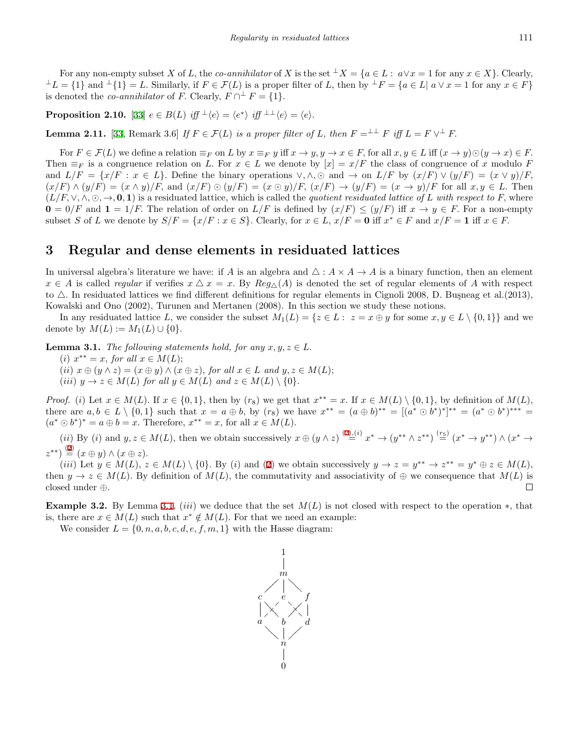For any non-empty subset X of L, the co-annihilator of X is the set  $\pm X = \{a \in L : a \lor x = 1 \text{ for any } x \in X\}$ . Clearly,  $\perp L = \{1\}$  and  $\perp \{1\} = L$ . Similarly, if  $F \in \mathcal{F}(L)$  is a proper filter of L, then by  $\perp F = \{a \in L | a \lor x = 1 \text{ for any } x \in F\}$ is denoted the *co-annihilator* of *F*. Clearly,  $F \cap \overline{\perp} F = \{1\}$ *.* 

<span id="page-4-2"></span>**Proposition 2.10.** [\[33](#page-19-2)]  $e \in B(L)$  iff  $\perp \langle e \rangle = \langle e^* \rangle$  iff  $\perp \perp \langle e \rangle = \langle e \rangle$ .

**Lemma 2.11.** [\[33](#page-19-2), Remark 3.6] *If*  $F \in \mathcal{F}(L)$  *is a proper filter of L, then*  $F = \perp^{\perp} F$  *iff*  $L = F \vee^{\perp} F$ .

For  $F \in \mathcal{F}(L)$  we define a relation  $\equiv_F$  on L by  $x \equiv_F y$  iff  $x \to y, y \to x \in F$ , for all  $x, y \in L$  iff  $(x \to y) \odot (y \to x) \in F$ . Then  $\equiv_F$  is a congruence relation on *L*. For  $x \in L$  we denote by  $[x] = x/F$  the class of congruence of *x* modulo *F* and  $L/F = \{x/F : x \in L\}$ . Define the binary operations  $\vee, \wedge, \odot$  and  $\rightarrow$  on  $L/F$  by  $(x/F) \vee (y/F) = (x \vee y)/F$ ,  $(x/F) \wedge (y/F) = (x \wedge y)/F$ , and  $(x/F) \odot (y/F) = (x \odot y)/F$ ,  $(x/F) \rightarrow (y/F) = (x \rightarrow y)/F$  for all  $x, y \in L$ . Then  $(L/F, \vee, \wedge, \odot, \rightarrow, 0, 1)$  is a residuated lattice, which is called the *quotient residuated lattice of L with respect to F*, where  $0 = 0/F$  and  $1 = 1/F$ . The relation of order on  $L/F$  is defined by  $(x/F) \le (y/F)$  iff  $x \to y \in F$ . For a non-empty subset S of L we denote by  $S/F = \{x/F : x \in S\}$ . Clearly, for  $x \in L$ ,  $x/F = 0$  iff  $x^* \in F$  and  $x/F = 1$  iff  $x \in F$ .

# **3 Regular and dense elements in residuated lattices**

In universal algebra's literature we have: if *A* is an algebra and  $\triangle : A \times A \rightarrow A$  is a binary function, then an element  $x \in A$  is called *regular* if verifies  $x \Delta x = x$ . By  $Reg_{\Delta}(A)$  is denoted the set of regular elements of *A* with respect to  $\triangle$ . In residuated lattices we find different definitions for regular elements in Cignoli 2008, D. Busneag et al. (2013), Kowalski and Ono (2002), Turunen and Mertanen (2008). In this section we study these notions.

In any residuated lattice L, we consider the subset  $M_1(L) = \{z \in L : z = x \oplus y \text{ for some } x, y \in L \setminus \{0,1\}\}\$ and we denote by  $M(L) := M_1(L) \cup \{0\}$ .

<span id="page-4-0"></span>**Lemma 3.1.** *The following statements hold, for any*  $x, y, z \in L$ .

- $(i)$   $x^{**} = x$ , *for all*  $x \in M(L)$ ;
- (ii)  $x \oplus (y \wedge z) = (x \oplus y) \wedge (x \oplus z)$ , for all  $x \in L$  and  $y, z \in M(L)$ ;
- $(iii)$   $y \rightarrow z \in M(L)$  *for all*  $y \in M(L)$  *and*  $z \in M(L) \setminus \{0\}$ *.*

*Proof.* (i) Let  $x \in M(L)$ . If  $x \in \{0,1\}$ , then by  $(r_8)$  we get that  $x^{**} = x$ . If  $x \in M(L) \setminus \{0,1\}$ , by definition of  $M(L)$ , there are  $a, b \in L \setminus \{0,1\}$  such that  $x = a \oplus b$ , by  $(r_8)$  we have  $x^{**} = (a \oplus b)^{**} = [(a^* \odot b^*)^*]^{**} = (a^* \odot b^*)^{**} =$  $(a^* \odot b^*)^* = a \oplus b = x$ . Therefore,  $x^{**} = x$ , for all  $x \in M(L)$ .

(ii) By (i) and  $y, z \in M(L)$ , then we obtain successively  $x \oplus (y \wedge z) \stackrel{(2),(i)}{=} x^* \rightarrow (y^{**} \wedge z^{**}) \stackrel{(r_5)}{=} (x^* \rightarrow y^{**}) \wedge (x^* \rightarrow z^{**})$  $x \oplus (y \wedge z) \stackrel{(2),(i)}{=} x^* \rightarrow (y^{**} \wedge z^{**}) \stackrel{(r_5)}{=} (x^* \rightarrow y^{**}) \wedge (x^* \rightarrow z^{**})$  $x \oplus (y \wedge z) \stackrel{(2),(i)}{=} x^* \rightarrow (y^{**} \wedge z^{**}) \stackrel{(r_5)}{=} (x^* \rightarrow y^{**}) \wedge (x^* \rightarrow z^{**})$  $(z^{**}) \stackrel{(2)}{=} (x \oplus y) \wedge (x \oplus z).$  $(z^{**}) \stackrel{(2)}{=} (x \oplus y) \wedge (x \oplus z).$  $(z^{**}) \stackrel{(2)}{=} (x \oplus y) \wedge (x \oplus z).$ 

(iii) Let  $y \in M(L)$ ,  $z \in M(L) \setminus \{0\}$ . By (i) and ([2\)](#page-2-1) we obtain successively  $y \to z = y^{**} \to z^{**} = y^* \oplus z \in M(L)$ , then  $y \to z \in M(L)$ . By definition of  $M(L)$ , the commutativity and associativity of  $\oplus$  we consequence that  $M(L)$  is closed under *⊕.*  $\Box$ 

<span id="page-4-1"></span>**Example 3.2.** By Lemma [3.1](#page-4-0), *(iii)* we deduce that the set  $M(L)$  is not closed with respect to the operation  $*$ , that is, there are  $x \in M(L)$  such that  $x^* \notin M(L)$ . For that we need an example:

We consider  $L = \{0, n, a, b, c, d, e, f, m, 1\}$  with the Hasse diagram:

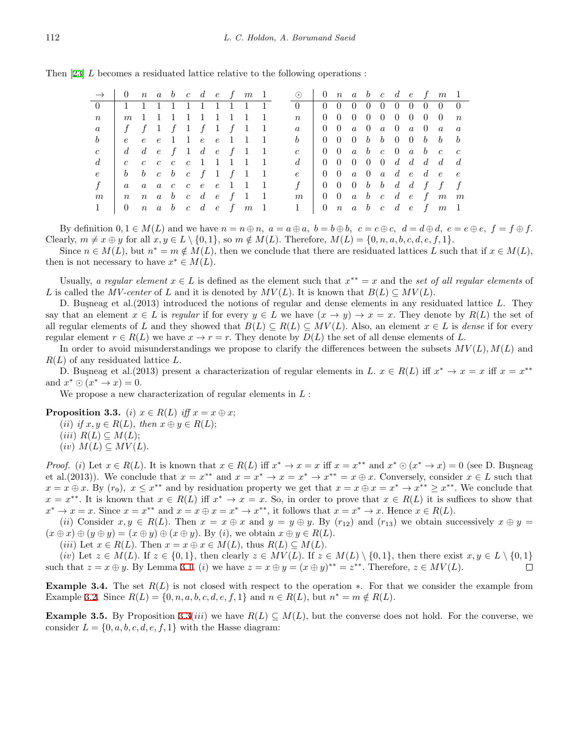Then [[23\]](#page-18-5) *L* becomes a residuated lattice relative to the following operations :

|                         | $\rightarrow$ 0 n a b c d e f m 1                                           |  |  |  |                     |  | $\odot$ 0 n a b c d e f m 1                                                         |                                                                                     |  |  |  |                                                 |  |
|-------------------------|-----------------------------------------------------------------------------|--|--|--|---------------------|--|-------------------------------------------------------------------------------------|-------------------------------------------------------------------------------------|--|--|--|-------------------------------------------------|--|
| 0 1 1 1 1 1 1 1 1 1 1 1 |                                                                             |  |  |  |                     |  | $\begin{matrix} 0 \\ 1 \end{matrix}$                                                |                                                                                     |  |  |  | 0 0 0 0 0 0 0 0 0 0                             |  |
| $\boldsymbol{n}$        |                                                                             |  |  |  | m 1 1 1 1 1 1 1 1 1 |  | $\mathfrak{n}$                                                                      |                                                                                     |  |  |  | $0\; 0\; 0\; 0\; 0\; 0\; 0\; 0\; 0\; n$         |  |
|                         | $a \mid f \mid f \mid 1 \mid f \mid 1 \mid f \mid 1 \mid 1$                 |  |  |  |                     |  | $a \quad 0 \quad 0 \quad a \quad 0 \quad a \quad 0 \quad a \quad 0 \quad a \quad a$ |                                                                                     |  |  |  |                                                 |  |
| $\mathfrak{b}$          |                                                                             |  |  |  | e e e 1 1 e e 1 1 1 |  |                                                                                     | $0\quad 0\quad 0\quad b\quad b\quad 0\quad 0\quad b\quad b\quad b$                  |  |  |  |                                                 |  |
|                         | $c$ d d e f 1 d e f 1 1                                                     |  |  |  |                     |  | $c \begin{array}{ccccccccc} c & 0 & 0 & a & b & c & 0 & a & b & c & c \end{array}$  |                                                                                     |  |  |  |                                                 |  |
| $\overline{d}$          | c c c c c 1 1 1 1 1                                                         |  |  |  |                     |  |                                                                                     |                                                                                     |  |  |  |                                                 |  |
|                         | $e \, b \, b \, c \, b \, c \, f \, 1 \, f \, 1 \, 1$                       |  |  |  |                     |  | $e \begin{bmatrix} 0 & 0 & a & 0 & a & d & e & d & e & e \end{bmatrix}$             |                                                                                     |  |  |  |                                                 |  |
|                         | a a a c c e e 1 1 1                                                         |  |  |  |                     |  |                                                                                     | $f \quad 0 \quad 0 \quad 0 \quad b \quad b \quad d \quad d \quad f \quad f \quad f$ |  |  |  |                                                 |  |
| m                       | $n \quad n \quad a \quad b \quad c \quad d \quad e \quad f \quad 1 \quad 1$ |  |  |  |                     |  | m                                                                                   |                                                                                     |  |  |  | $0 \t0 \t a \t b \t c \t d \t e \t f \t m \t m$ |  |
|                         | 0 $n$ a $b$ c $d$ e $f$ $m$ 1                                               |  |  |  |                     |  | $1 \mid 0 \quad n \quad a \quad b \quad c \quad d \quad e \quad f \quad m \quad 1$  |                                                                                     |  |  |  |                                                 |  |

By definition  $0, 1 \in M(L)$  and we have  $n = n \oplus n$ ,  $a = a \oplus a$ ,  $b = b \oplus b$ ,  $c = c \oplus c$ ,  $d = d \oplus d$ ,  $e = e \oplus e$ ,  $f = f \oplus f$ . Clearly,  $m \neq x \oplus y$  for all  $x, y \in L \setminus \{0, 1\}$ , so  $m \notin M(L)$ . Therefore,  $M(L) = \{0, n, a, b, c, d, e, f, 1\}$ .

Since  $n \in M(L)$ , but  $n^* = m \notin M(L)$ , then we conclude that there are residuated lattices L such that if  $x \in M(L)$ , then is not necessary to have  $x^* \in M(L)$ .

Usually, *a regular element*  $x \in L$  is defined as the element such that  $x^{**} = x$  and the *set of all regular elements* of *L* is called the *MV-center* of *L* and it is denoted by  $MV(L)$ . It is known that  $B(L) \subseteq MV(L)$ .

D. Busneag et al. (2013) introduced the notions of regular and dense elements in any residuated lattice L. They say that an element  $x \in L$  is *regular* if for every  $y \in L$  we have  $(x \to y) \to x = x$ . They denote by  $R(L)$  the set of all regular elements of *L* and they showed that  $B(L) \subseteq R(L) \subseteq MV(L)$ . Also, an element  $x \in L$  is *dense* if for every regular element  $r \in R(L)$  we have  $x \to r = r$ . They denote by  $D(L)$  the set of all dense elements of L.

In order to avoid misunderstandings we propose to clarify the differences between the subsets  $MV(L)$ ,  $M(L)$  and *R*(*L*) of any residuated lattice *L.*

D. Busneag et al.(2013) present a characterization of regular elements in *L*.  $x \in R(L)$  iff  $x^* \to x = x$  iff  $x = x^{**}$ and  $x^* \odot (x^* \to x) = 0$ .

We propose a new characterization of regular elements in *L* :

<span id="page-5-0"></span>**Proposition 3.3.** (*i*)  $x \in R(L)$  *iff*  $x = x \oplus x$ ;

 $(iii)$  *if*  $x, y \in R(L)$ *, then*  $x \oplus y \in R(L)$ ;

 $(iii)$   $R(L) \subseteq M(L);$ 

 $(iv)$   $M(L) \subseteq MV(L)$ .

*Proof.* (i) Let  $x \in R(L)$ . It is known that  $x \in R(L)$  iff  $x^* \to x = x$  iff  $x = x^{**}$  and  $x^* \odot (x^* \to x) = 0$  (see D. Busneag et al. (2013)). We conclude that  $x = x^{**}$  and  $x = x^* \rightarrow x = x^* \rightarrow x^{**} = x \oplus x$ . Conversely, consider  $x \in L$  such that  $x = x \oplus x$ . By  $(r_9)$ ,  $x \leq x^{**}$  and by residuation property we get that  $x = x \oplus x = x^{*} \rightarrow x^{**} \geq x^{**}$ . We conclude that  $x = x^{**}$ . It is known that  $x \in R(L)$  iff  $x^* \to x = x$ . So, in order to prove that  $x \in R(L)$  it is suffices to show that  $x^* \to x = x$ . Since  $x = x^{**}$  and  $x = x \oplus x = x^* \to x^{**}$ , it follows that  $x = x^* \to x$ . Hence  $x \in R(L)$ .

(ii) Consider  $x, y \in R(L)$ . Then  $x = x \oplus x$  and  $y = y \oplus y$ . By  $(r_{12})$  and  $(r_{13})$  we obtain successively  $x \oplus y =$  $(x \oplus x) \oplus (y \oplus y) = (x \oplus y) \oplus (x \oplus y)$ . By (i), we obtain  $x \oplus y \in R(L)$ .

 $(iii)$  Let  $x \in R(L)$ . Then  $x = x \oplus x \in M(L)$ , thus  $R(L) \subseteq M(L)$ .

(iv) Let  $z \in M(L)$ . If  $z \in \{0,1\}$ , then clearly  $z \in MV(L)$ . If  $z \in M(L) \setminus \{0,1\}$ , then there exist  $x, y \in L \setminus \{0,1\}$ such that  $z = x \oplus y$ . By Lemma [3.1,](#page-4-0) (i) we have  $z = x \oplus y = (x \oplus y)^{**} = z^{**}$ . Therefore,  $z \in MV(L)$ .  $\Box$ 

**Example 3.4.** The set *R*(*L*) is not closed with respect to the operation *∗*. For that we consider the example from Example [3.2](#page-4-1). Since  $R(L) = \{0, n, a, b, c, d, e, f, 1\}$  and  $n \in R(L)$ , but  $n^* = m \notin R(L)$ .

**Example 3.5.** By Proposition [3.3\(](#page-5-0)*iii*) we have  $R(L) \subseteq M(L)$ , but the converse does not hold. For the converse, we consider  $L = \{0, a, b, c, d, e, f, 1\}$  with the Hasse diagram: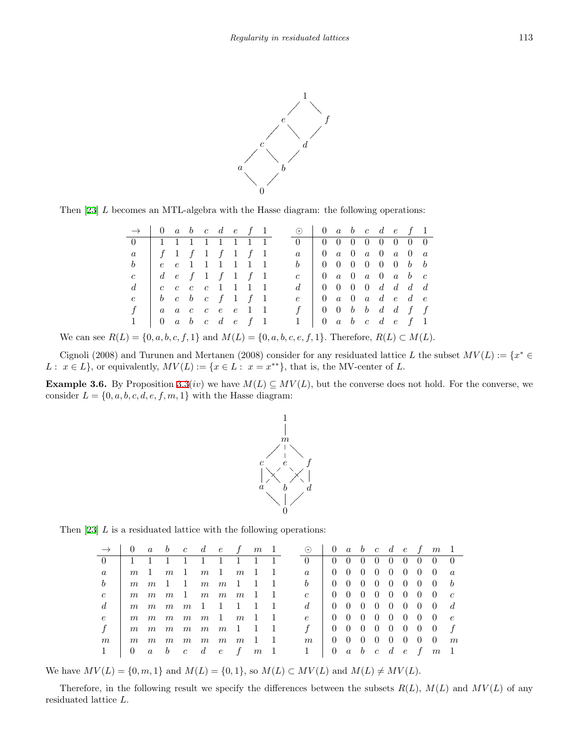

Then [[23\]](#page-18-5) *L* becomes an MTL-algebra with the Hasse diagram: the following operations:

| $\rightarrow$ 0 a b c d e f 1                                      |                                                                                 |  |  |  |  | $\odot$ 0 a b c d e f 1                                                             |                                                                     |  |  |  |  |
|--------------------------------------------------------------------|---------------------------------------------------------------------------------|--|--|--|--|-------------------------------------------------------------------------------------|---------------------------------------------------------------------|--|--|--|--|
| 0 1 1 1 1 1 1 1 1 1                                                |                                                                                 |  |  |  |  | $0$   0 0 0 0 0 0 0 0 0                                                             |                                                                     |  |  |  |  |
| $a \mid f \quad 1 \quad f \quad 1 \quad f \quad 1 \quad f \quad 1$ |                                                                                 |  |  |  |  | $a \quad 0 \quad a \quad 0 \quad a \quad 0 \quad a \quad 0 \quad a$                 |                                                                     |  |  |  |  |
| b   e e 1 1 1 1 1 1                                                |                                                                                 |  |  |  |  | $b \begin{array}{cccccccccccccccccc} b & 0 & 0 & 0 & 0 & 0 & 0 & b & b \end{array}$ |                                                                     |  |  |  |  |
| $\mathfrak{c}$                                                     | $\begin{array}{ccccccccccccccccc}\n d & e & f & 1 & f & 1 & f & 1\n\end{array}$ |  |  |  |  | $c \begin{array}{ccc} c & 0 & a & 0 & a & 0 & a & b & c \end{array}$                |                                                                     |  |  |  |  |
| $d_{-}$                                                            | $\begin{array}{ccccc} \c & c & c & c & 1 & 1 & 1 & 1 \end{array}$               |  |  |  |  | $d \mid 0 \mid 0 \mid 0 \mid 0 \mid d \mid d \mid d$                                |                                                                     |  |  |  |  |
| e                                                                  | $\begin{array}{ccccccccc} & b & c & b & c & f & 1 & f & 1 \end{array}$          |  |  |  |  |                                                                                     | $e \quad 0 \quad a \quad 0 \quad a \quad d \quad e \quad d \quad e$ |  |  |  |  |
| f                                                                  |                                                                                 |  |  |  |  |                                                                                     | $f \quad 0 \quad 0 \quad b \quad b \quad d \quad d \quad f \quad f$ |  |  |  |  |
| $1 \mid 0 \quad a \quad b \quad c \quad d \quad e \quad f \quad 1$ |                                                                                 |  |  |  |  |                                                                                     | $1 \quad 0 \quad a \quad b \quad c \quad d \quad e \quad f \quad 1$ |  |  |  |  |

*We can see*  $R(L) = \{0, a, b, c, f, 1\}$  and  $M(L) = \{0, a, b, c, e, f, 1\}$ *.* Therefore,  $R(L) \subset M(L)$ *.* 

Cignoli (2008) and Turunen and Mertanen (2008) consider for any residuated lattice *L* the subset  $MV(L) := \{x^* \in$ *L* :  $x \in L$ *}*, or equivalently,  $MV(L) := \{x \in L : x = x^{**}\}$ , that is, the MV-center of *L*.

<span id="page-6-1"></span>**Example 3.6.** By Proposition [3.3\(](#page-5-0)*iv*) we have  $M(L) \subseteq MV(L)$ , but the converse does not hold. For the converse, we consider  $L = \{0, a, b, c, d, e, f, m, 1\}$  with the Hasse diagram:



Then [[23\]](#page-18-5) *L* is a residuated lattice with the following operations:

|                | $\begin{array}{ccccccccc}\n\vert & 0 & a & b & c & d & e & f & m & 1\n\end{array}$ |                                                             |                                                     |  |                |  | $\odot$ 0 a b c d e f m 1 |  |  |                     |                                 |                                      |   |
|----------------|------------------------------------------------------------------------------------|-------------------------------------------------------------|-----------------------------------------------------|--|----------------|--|---------------------------|--|--|---------------------|---------------------------------|--------------------------------------|---|
|                |                                                                                    | 1 1 1 1 1 1 1 1 1                                           |                                                     |  |                |  | $\left( \right)$          |  |  |                     |                                 | $0 \t0 \t0 \t0 \t0 \t0 \t0 \t0 \t0$  |   |
| $\alpha$       |                                                                                    | $m \quad 1 \quad m \quad 1 \quad m \quad 1 \quad m \quad 1$ |                                                     |  |                |  | $\alpha$                  |  |  |                     |                                 | $0\; 0\; 0\; 0\; 0\; 0\; 0\; 0\; a$  |   |
| b              | $m_{\parallel}$                                                                    |                                                             | $m \quad 1 \quad 1 \quad m \quad m \quad 1 \quad 1$ |  |                |  | b                         |  |  |                     |                                 | $0 \t0 \t0 \t0 \t0 \t0 \t0 \t0 \t b$ |   |
| $\mathfrak{c}$ | $m_{\parallel}$                                                                    |                                                             | $m \quad m \quad 1 \quad m \quad m \quad m \quad 1$ |  |                |  | $\mathcal{C}$             |  |  |                     |                                 | $0 \t0 \t0 \t0 \t0 \t0 \t0 \t0 \t0$  |   |
| $d_{i}$        | m                                                                                  | m                                                           | $m \quad m \quad 1 \quad 1 \quad 1 \quad 1$         |  |                |  | $d_{\cdot}$               |  |  |                     |                                 | $0 \t0 \t0 \t0 \t0 \t0 \t0 \t0 \t d$ |   |
| e              |                                                                                    | $m \quad m \quad m \quad m \quad m \quad 1 \quad m \quad 1$ |                                                     |  |                |  | $\epsilon$                |  |  |                     |                                 | $0\; 0\; 0\; 0\; 0\; 0\; 0\; 0\; e$  |   |
|                | m                                                                                  |                                                             | $m \quad m \quad m \quad m \quad m \quad 1 \quad 1$ |  |                |  |                           |  |  |                     | $0 \t0 \t0 \t0 \t0 \t0 \t0 \t0$ |                                      |   |
| $m\,$          | m                                                                                  | m                                                           | $m \quad m \quad m \quad m \quad m \quad 1$         |  |                |  | m                         |  |  |                     | $0 \t0 \t0 \t0 \t0 \t0 \t0 \t0$ |                                      | m |
|                |                                                                                    | $a \quad b \quad c \quad d \quad e \quad f$                 |                                                     |  | m <sub>1</sub> |  |                           |  |  | 0 $a$ b $c$ d $e$ f |                                 | m <sub>1</sub>                       |   |

We have  $MV(L) = \{0, m, 1\}$  and  $M(L) = \{0, 1\}$ , so  $M(L) \subset MV(L)$  and  $M(L) \neq MV(L)$ .

<span id="page-6-0"></span>Therefore, in the following result we specify the differences between the subsets  $R(L)$ ,  $M(L)$  and  $MV(L)$  of any residuated lattice *L.*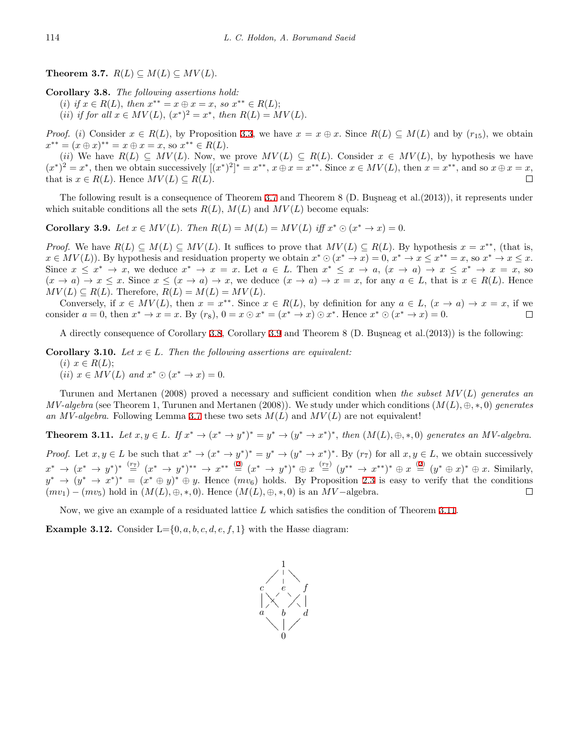**Theorem 3.7.**  $R(L) \subseteq M(L) \subseteq MV(L)$ .

<span id="page-7-0"></span>**Corollary 3.8.** *The following assertions hold:*

 $(i)$  *if*  $x \in R(L)$ *, then*  $x^{**} = x \oplus x = x$ *, so*  $x^{**} \in R(L)$ ;  $(iii)$  *if for all*  $x \in MV(L)$ ,  $(x^*)^2 = x^*$ , *then*  $R(L) = MV(L)$ .

*Proof.* (i) Consider  $x \in R(L)$ , by Proposition [3.3](#page-5-0), we have  $x = x \oplus x$ . Since  $R(L) \subseteq M(L)$  and by  $(r_{15})$ , we obtain  $x^{**} = (x \oplus x)^{**} = x \oplus x = x$ , so  $x^{**} \in R(L)$ .

(ii) We have  $R(L) \subseteq MV(L)$ . Now, we prove  $MV(L) \subseteq R(L)$ . Consider  $x \in MV(L)$ , by hypothesis we have  $(x^*)^2 = x^*$ , then we obtain successively  $[(x^*)^2]^* = x^{**}$ ,  $x \oplus x = x^{**}$ . Since  $x \in MV(L)$ , then  $x = x^{**}$ , and so  $x \oplus x = x$ , that is  $x \in R(L)$ . Hence  $MV(L) \subseteq R(L)$ .  $\Box$ 

The following result is a consequence of Theorem [3.7](#page-6-0) and Theorem 8 (D. Buşneag et al.(2013)), it represents under which suitable conditions all the sets  $R(L)$ ,  $M(L)$  and  $MV(L)$  become equals:

<span id="page-7-1"></span>**Corollary 3.9.** Let  $x \in MV(L)$ . Then  $R(L) = M(L) = MV(L)$  iff  $x^* \odot (x^* \rightarrow x) = 0$ .

*Proof.* We have  $R(L) \subseteq M(L) \subseteq MV(L)$ . It suffices to prove that  $MV(L) \subseteq R(L)$ . By hypothesis  $x = x^{**}$ , (that is,  $x \in MV(L)$ . By hypothesis and residuation property we obtain  $x^* \odot (x^* \rightarrow x) = 0, x^* \rightarrow x \le x^{**} = x$ , so  $x^* \rightarrow x \le x$ . Since  $x \leq x^* \to x$ , we deduce  $x^* \to x = x$ . Let  $a \in L$ . Then  $x^* \leq x \to a$ ,  $(x \to a) \to x \leq x^* \to x = x$ , so  $(x \to a) \to x \leq x$ . Since  $x \leq (x \to a) \to x$ , we deduce  $(x \to a) \to x = x$ , for any  $a \in L$ , that is  $x \in R(L)$ . Hence  $MV(L) \subseteq R(L)$ . Therefore,  $R(L) = M(L) = MV(L)$ .

Conversely, if  $x \in MV(L)$ , then  $x = x^{**}$ . Since  $x \in R(L)$ , by definition for any  $a \in L$ ,  $(x \to a) \to x = x$ , if we consider  $a = 0$ , then  $x^* \to x = x$ . By  $(r_8)$ ,  $0 = x \odot x^* = (x^* \to x) \odot x^*$ . Hence  $x^* \odot (x^* \to x) = 0$ .  $\Box$ 

A directly consequence of Corollary [3.8,](#page-7-0) Corollary [3.9](#page-7-1) and Theorem 8 (D. Buşneag et al.  $(2013)$ ) is the following:

**Corollary 3.10.** *Let*  $x \in L$ *. Then the following assertions are equivalent:*  $(i)$   $x \in R(L);$  $(iii)$   $x \in MV(L)$  and  $x^* \odot (x^* \rightarrow x) = 0.$ 

Turunen and Mertanen (2008) proved a necessary and sufficient condition when *the subset MV* (*L*) *generates an MV-algebra* (see Theorem 1, Turunen and Mertanen (2008)). We study under which conditions (*M*(*L*)*, ⊕, ∗,* 0) *generates* an *MV-algebra*. Following Lemma [3.7](#page-6-0) these two sets  $M(L)$  and  $MV(L)$  are not equivalent!

<span id="page-7-2"></span>**Theorem 3.11.** Let  $x, y \in L$ . If  $x^* \to (x^* \to y^*)^* = y^* \to (y^* \to x^*)^*$ , then  $(M(L), \oplus, * , 0)$  generates an MV-algebra. *Proof.* Let  $x, y \in L$  be such that  $x^* \to (x^* \to y^*)^* = y^* \to (y^* \to x^*)^*$ . By  $(r_7)$  for all  $x, y \in L$ , we obtain successively  $x^* \to (x^* \to y^*)^* \stackrel{(r_7)}{=} (x^* \to y^*)^{**} \to x^{**} \stackrel{(2)}{=} (x^* \to y^*)^* \oplus x \stackrel{(r_7)}{=} (y^{**} \to x^{**})^* \oplus x \stackrel{(2)}{=} (y^* \oplus x)^* \oplus x$  $x^* \to (x^* \to y^*)^* \stackrel{(r_7)}{=} (x^* \to y^*)^{**} \to x^{**} \stackrel{(2)}{=} (x^* \to y^*)^* \oplus x \stackrel{(r_7)}{=} (y^{**} \to x^{**})^* \oplus x \stackrel{(2)}{=} (y^* \oplus x)^* \oplus x$  $x^* \to (x^* \to y^*)^* \stackrel{(r_7)}{=} (x^* \to y^*)^{**} \to x^{**} \stackrel{(2)}{=} (x^* \to y^*)^* \oplus x \stackrel{(r_7)}{=} (y^{**} \to x^{**})^* \oplus x \stackrel{(2)}{=} (y^* \oplus x)^* \oplus x$  $x^* \to (x^* \to y^*)^* \stackrel{(r_7)}{=} (x^* \to y^*)^{**} \to x^{**} \stackrel{(2)}{=} (x^* \to y^*)^* \oplus x \stackrel{(r_7)}{=} (y^{**} \to x^{**})^* \oplus x \stackrel{(2)}{=} (y^* \oplus x)^* \oplus x$  $x^* \to (x^* \to y^*)^* \stackrel{(r_7)}{=} (x^* \to y^*)^{**} \to x^{**} \stackrel{(2)}{=} (x^* \to y^*)^* \oplus x \stackrel{(r_7)}{=} (y^{**} \to x^{**})^* \oplus x \stackrel{(2)}{=} (y^* \oplus x)^* \oplus x$ . Similarly,  $y^* \to (y^* \to x^*)^* = (x^* \oplus y)^* \oplus y$ . Hence  $(mv_6)$  holds. By Proposition [2.3](#page-2-2) is easy to verify that the conditions  $(mv_1) - (mv_5)$  hold in  $(M(L), \oplus, *, 0)$ . Hence  $(M(L), \oplus, *, 0)$  is an  $MV$ -algebra.  $\Box$ 

Now, we give an example of a residuated lattice *L* which satisfies the condition of Theorem [3.11](#page-7-2).

<span id="page-7-3"></span>**Example 3.12.** Consider  $L = \{0, a, b, c, d, e, f, 1\}$  with the Hasse diagram:

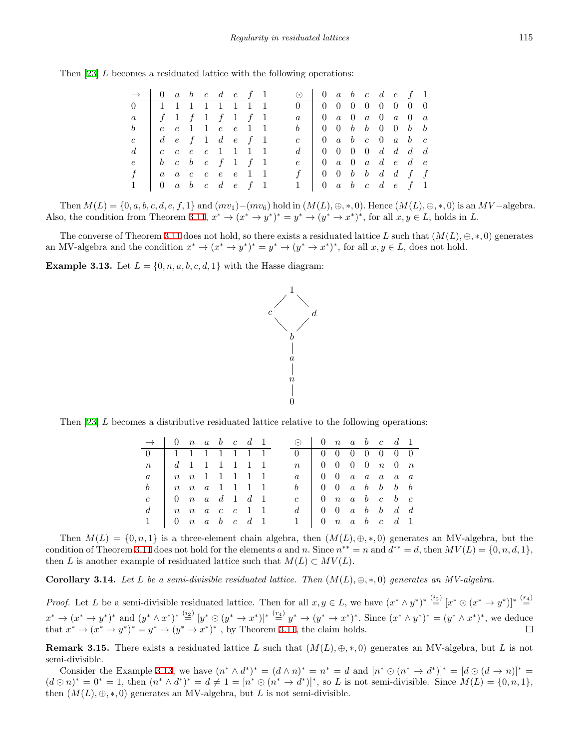|  |  |  |  |  |  |  |  |  | Then [23] $L$ becomes a residuated lattice with the following operations: |
|--|--|--|--|--|--|--|--|--|---------------------------------------------------------------------------|
|--|--|--|--|--|--|--|--|--|---------------------------------------------------------------------------|

| $\rightarrow$ 0 a b c d e f 1 |                                                                                |  |  |                                                                                                              |  | $\odot$ 0 a b c d e f 1                |                                                                                                 |  |  |  |  |
|-------------------------------|--------------------------------------------------------------------------------|--|--|--------------------------------------------------------------------------------------------------------------|--|----------------------------------------|-------------------------------------------------------------------------------------------------|--|--|--|--|
| $0 \quad \Box$                |                                                                                |  |  | 1 1 1 1 1 1 1 1 1                                                                                            |  | $0 \t 0 \t 0 \t 0 \t 0 \t 0 \t 0 \t 0$ |                                                                                                 |  |  |  |  |
| $\overline{a}$                | $\begin{array}{ccccccccccccccccc} & f & 1 & f & 1 & f & 1 & f & 1 \end{array}$ |  |  |                                                                                                              |  |                                        | $a \quad 0 \quad a \quad 0 \quad a \quad 0 \quad a \quad 0 \quad a$                             |  |  |  |  |
| b                             |                                                                                |  |  |                                                                                                              |  |                                        | $b \begin{array}{cccccccccccccccccccccccccc} b & 0 & 0 & 0 & b & b & 0 & 0 & b & b \end{array}$ |  |  |  |  |
| $\mathcal{C}$                 |                                                                                |  |  | $d\hspace{.1cm} e\hspace{.1cm} f\hspace{.1cm} 1\hspace{.1cm} d\hspace{.1cm} e\hspace{.1cm} f\hspace{.1cm} 1$ |  |                                        | $c \begin{array}{ccccccccc} c & 0 & a & b & c & 0 & a & b & c \end{array}$                      |  |  |  |  |
| $\overline{d}$                |                                                                                |  |  | c c c c 1 1 1 1                                                                                              |  |                                        | $d \begin{array}{cccccc} 0 & 0 & 0 & 0 & d & d & d & d \end{array}$                             |  |  |  |  |
| e                             | $\begin{array}{ccccccccc} b & c & b & c & f & 1 & f & 1 \end{array}$           |  |  |                                                                                                              |  |                                        | $e \begin{array}{ccccccccc} 0 & a & 0 & a & d & e & d & e \end{array}$                          |  |  |  |  |
| f                             |                                                                                |  |  | <i>a a c c e e</i> 1 1                                                                                       |  |                                        | $\begin{array}{ccccccccc} & & 0 & 0 & b & b & d & d & f & f \end{array}$                        |  |  |  |  |
|                               | $\begin{array}{ccccccccc}\n0 & a & b & c & d & e & f & 1\n\end{array}$         |  |  |                                                                                                              |  |                                        | $1 \quad 0 \quad a \quad b \quad c \quad d \quad e \quad f \quad 1$                             |  |  |  |  |

Then  $M(L) = \{0, a, b, c, d, e, f, 1\}$  and  $(mv_1) - (mv_6)$  hold in  $(M(L), \oplus, *, 0)$ . Hence  $(M(L), \oplus, *, 0)$  is an  $MV$ -algebra. Also, the condition from Theorem [3.11,](#page-7-2)  $x^* \to (x^* \to y^*)^* = y^* \to (y^* \to x^*)^*$ , for all  $x, y \in L$ , holds in L.

The converse of Theorem [3.11](#page-7-2) does not hold, so there exists a residuated lattice L such that  $(M(L), \oplus, *, 0)$  generates an MV-algebra and the condition  $x^* \to (x^* \to y^*)^* = y^* \to (y^* \to x^*)^*$ , for all  $x, y \in L$ , does not hold.

<span id="page-8-0"></span>**Example 3.13.** Let  $L = \{0, n, a, b, c, d, 1\}$  with the Hasse diagram:



Then [[23\]](#page-18-5) *L* becomes a distributive residuated lattice relative to the following operations:

|                                                            | $\rightarrow$ 0 n a b c d 1 |  |  |  | $\odot$ 0 n a b c d 1 |                                                                     |  |  |  |
|------------------------------------------------------------|-----------------------------|--|--|--|-----------------------|---------------------------------------------------------------------|--|--|--|
| 0 1 1 1 1 1 1 1 1                                          |                             |  |  |  |                       | $0 \t 0 \t 0 \t 0 \t 0 \t 0 \t 0 \t 0$                              |  |  |  |
| $n \mid d \quad 1 \quad 1 \quad 1 \quad 1 \quad 1 \quad 1$ |                             |  |  |  | $\mathbb n$           | $\begin{array}{ccccccccc} 0 & 0 & 0 & 0 & n & 0 & n \end{array}$    |  |  |  |
| $a \mid n \mid n \mid 1 \mid 1 \mid 1 \mid 1$              |                             |  |  |  |                       | $a \quad   \quad 0 \quad 0 \quad a \quad a \quad a \quad a \quad a$ |  |  |  |
| $b \mid n \mid n \mid a \mid 1 \mid 1 \mid 1$              |                             |  |  |  |                       | $b \quad 0 \quad 0 \quad a \quad b \quad b \quad b \quad b$         |  |  |  |
| $c \mid 0 \mid n \mid a \mid d \mid 1 \mid d \mid 1$       |                             |  |  |  |                       | $c \mid 0 \mid n \mid a \mid b \mid c \mid b \mid c$                |  |  |  |
| $d \mid n \mid n \mid a \mid c \mid c \mid 1 \mid 1$       |                             |  |  |  |                       | $d \mid 0 \mid 0 \mid a \mid b \mid b \mid d \mid d$                |  |  |  |
| $1 \mid 0 \mid n \mid a \mid b \mid c \mid d \mid 1$       |                             |  |  |  |                       | $1 \mid 0 \quad n \quad a \quad b \quad c \quad d \quad 1$          |  |  |  |

Then  $M(L) = \{0, n, 1\}$  is a three-element chain algebra, then  $(M(L), \oplus, *, 0)$  generates an MV-algebra, but the condition of Theorem [3.11](#page-7-2) does not hold for the elements *a* and *n*. Since  $n^{**} = n$  and  $d^{**} = d$ , then  $MV(L) = \{0, n, d, 1\}$ , then *L* is another example of residuated lattice such that  $M(L) \subset MV(L)$ .

**Corollary 3.14.** Let  $L$  be a semi-divisible residuated lattice. Then  $(M(L), \oplus, *, 0)$  generates an MV-algebra.

*Proof.* Let L be a semi-divisible residuated lattice. Then for all  $x, y \in L$ , we have  $(x^* \wedge y^*)^* \stackrel{(i_2)}{=} [x^* \odot (x^* \rightarrow y^*)]^* \stackrel{(r_4)}{=}$  $x^* \to (x^* \to y^*)^*$  and  $(y^* \wedge x^*)^* \stackrel{(i_2)}{=} [y^* \odot (y^* \to x^*)]^* \stackrel{(r_4)}{=} y^* \to (y^* \to x^*)^*$ . Since  $(x^* \wedge y^*)^* = (y^* \wedge x^*)^*$ , we deduce that  $x^* \to (x^* \to y^*)^* = y^* \to (y^* \to x^*)^*$ , by Theorem [3.11](#page-7-2), the claim holds.

**Remark 3.15.** There exists a residuated lattice *L* such that  $(M(L), \oplus, *, 0)$  generates an MV-algebra, but *L* is not semi-divisible.

Consider the Example [3.13,](#page-8-0) we have  $(n^* \wedge d^*)^* = (d \wedge n)^* = n^* = d$  and  $[n^* \odot (n^* \rightarrow d^*)]^* = [d \odot (d \rightarrow n)]^* =$  $(d \odot n)^* = 0^* = 1$ , then  $(n^* \wedge d^*)^* = d \neq 1 = [n^* \odot (n^* \rightarrow d^*)]^*$ , so L is not semi-divisible. Since  $M(L) = \{0, n, 1\}$ , then  $(M(L), \oplus, *, 0)$  generates an MV-algebra, but *L* is not semi-divisible.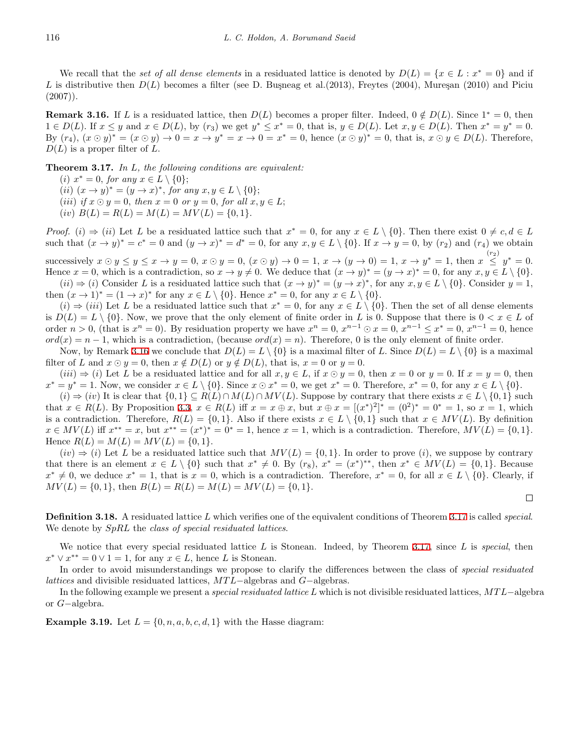We recall that the *set of all dense elements* in a residuated lattice is denoted by  $D(L) = \{x \in L : x^* = 0\}$  and if L is distributive then  $D(L)$  becomes a filter (see D. Busneag et al. (2013), Freytes (2004), Mureșan (2010) and Piciu  $(2007)$ .

<span id="page-9-2"></span>**Remark 3.16.** If *L* is a residuated lattice, then  $D(L)$  becomes a proper filter. Indeed,  $0 \notin D(L)$ . Since  $1^* = 0$ , then  $1 \in D(L)$ . If  $x \leq y$  and  $x \in D(L)$ , by  $(r_3)$  we get  $y^* \leq x^* = 0$ , that is,  $y \in D(L)$ . Let  $x, y \in D(L)$ . Then  $x^* = y^* = 0$ . By  $(r_4)$ ,  $(x \odot y)^* = (x \odot y) \rightarrow 0 = x \rightarrow y^* = x \rightarrow 0 = x^* = 0$ , hence  $(x \odot y)^* = 0$ , that is,  $x \odot y \in D(L)$ . Therefore,  $D(L)$  is a proper filter of  $L$ .

<span id="page-9-0"></span>**Theorem 3.17.** *In L, the following conditions are equivalent:*

- $(i)$   $x^* = 0$ , for any  $x \in L \setminus \{0\};$
- $(iii)$   $(x \to y)^* = (y \to x)^*$ , for any  $x, y \in L \setminus \{0\};$
- (*iii*) *if*  $x \odot y = 0$ *, then*  $x = 0$  *or*  $y = 0$ *, for all*  $x, y \in L$ ;
- $(iv)$   $B(L) = R(L) = M(L) = MV(L) = \{0,1\}.$

*Proof.* (i)  $\Rightarrow$  (ii) Let L be a residuated lattice such that  $x^* = 0$ , for any  $x \in L \setminus \{0\}$ . Then there exist  $0 \neq c, d \in L$ such that  $(x \to y)^* = c^* = 0$  and  $(y \to x)^* = d^* = 0$ , for any  $x, y \in L \setminus \{0\}$ . If  $x \to y = 0$ , by  $(r_2)$  and  $(r_4)$  we obtain

successively  $x \odot y \leq y \leq x \rightarrow y = 0$ ,  $x \odot y = 0$ ,  $(x \odot y) \rightarrow 0 = 1$ ,  $x \rightarrow (y \rightarrow 0) = 1$ ,  $x \rightarrow y^* = 1$ , then  $x \leq y^* = 0$ . Hence  $x = 0$ , which is a contradiction, so  $x \to y \neq 0$ . We deduce that  $(x \to y)^* = (y \to x)^* = 0$ , for any  $x, y \in L \setminus \{0\}$ .  $(ii) \Rightarrow (i)$  Consider L is a residuated lattice such that  $(x \to y)^* = (y \to x)^*$ , for any  $x, y \in L \setminus \{0\}$ . Consider  $y = 1$ ,

then  $(x \to 1)^* = (1 \to x)^*$  for any  $x \in L \setminus \{0\}$ . Hence  $x^* = 0$ , for any  $x \in L \setminus \{0\}$ .

 $(i)$  ⇒  $(iii)$  Let *L* be a residuated lattice such that  $x^* = 0$ , for any  $x \in L \setminus \{0\}$ . Then the set of all dense elements is  $D(L) = L \setminus \{0\}$ . Now, we prove that the only element of finite order in *L* is 0. Suppose that there is  $0 < x \in L$  of order  $n > 0$ , (that is  $x^n = 0$ ). By residuation property we have  $x^n = 0$ ,  $x^{n-1} \odot x = 0$ ,  $x^{n-1} \le x^* = 0$ ,  $x^{n-1} = 0$ , hence  $ord(x) = n - 1$ , which is a contradiction, (because  $ord(x) = n$ ). Therefore, 0 is the only element of finite order.

Now, by Remark [3.16](#page-9-2) we conclude that  $D(L) = L \setminus \{0\}$  is a maximal filter of *L*. Since  $D(L) = L \setminus \{0\}$  is a maximal filter of *L* and  $x \odot y = 0$ , then  $x \notin D(L)$  or  $y \notin D(L)$ , that is,  $x = 0$  or  $y = 0$ .

 $(iii) \Rightarrow (i)$  Let L be a residuated lattice and for all  $x, y \in L$ , if  $x \odot y = 0$ , then  $x = 0$  or  $y = 0$ . If  $x = y = 0$ , then  $x^* = y^* = 1$ . Now, we consider  $x \in L \setminus \{0\}$ . Since  $x \odot x^* = 0$ , we get  $x^* = 0$ . Therefore,  $x^* = 0$ , for any  $x \in L \setminus \{0\}$ .

 $(i) \Rightarrow (iv)$  It is clear that  $\{0,1\} \subseteq R(L) \cap M(L) \cap MV(L)$ . Suppose by contrary that there exists  $x \in L \setminus \{0,1\}$  such that  $x \in R(L)$ . By Proposition [3.3](#page-5-0),  $x \in R(L)$  iff  $x = x \oplus x$ , but  $x \oplus x = [(x^*)^2]^* = (0^2)^* = 0^* = 1$ , so  $x = 1$ , which is a contradiction. Therefore,  $R(L) = \{0, 1\}$ . Also if there exists  $x \in L \setminus \{0, 1\}$  such that  $x \in MV(L)$ . By definition  $x \in MV(L)$  iff  $x^{**} = x$ , but  $x^{**} = (x^*)^* = 0^* = 1$ , hence  $x = 1$ , which is a contradiction. Therefore,  $MV(L) = \{0, 1\}$ . Hence  $R(L) = M(L) = MV(L) = \{0, 1\}.$ 

 $(iv) \Rightarrow (i)$  Let *L* be a residuated lattice such that  $MV(L) = \{0, 1\}$ . In order to prove (*i*)*,* we suppose by contrary that there is an element  $x \in L \setminus \{0\}$  such that  $x^* \neq 0$ . By  $(r_8)$ ,  $x^* = (x^*)^{**}$ , then  $x^* \in MV(L) = \{0,1\}$ . Because  $x^* \neq 0$ , we deduce  $x^* = 1$ , that is  $x = 0$ , which is a contradiction. Therefore,  $x^* = 0$ , for all  $x \in L \setminus \{0\}$ . Clearly, if  $M(V(L) = \{0, 1\}$ , then  $B(L) = R(L) = M(L) = MV(L) = \{0, 1\}$ .

 $\Box$ 

**Definition 3.18.** A residuated lattice *L* which verifies one of the equivalent conditions of Theorem [3.17](#page-9-0) is called *special*. We denote by *SpRL* the *class of special residuated lattices*.

We notice that every special residuated lattice *L* is Stonean. Indeed, by Theorem [3.17](#page-9-0), since *L* is *special*, then  $x^* \vee x^{**} = 0 \vee 1 = 1$ , for any  $x \in L$ , hence *L* is Stonean.

In order to avoid misunderstandings we propose to clarify the differences between the class of *special residuated lattices* and divisible residuated lattices, *MT L−*algebras and *G−*algebras.

In the following example we present a *special residuated lattice L* which is not divisible residuated lattices, *MT L−*algebra or *G−*algebra.

<span id="page-9-1"></span>**Example 3.19.** Let  $L = \{0, n, a, b, c, d, 1\}$  with the Hasse diagram: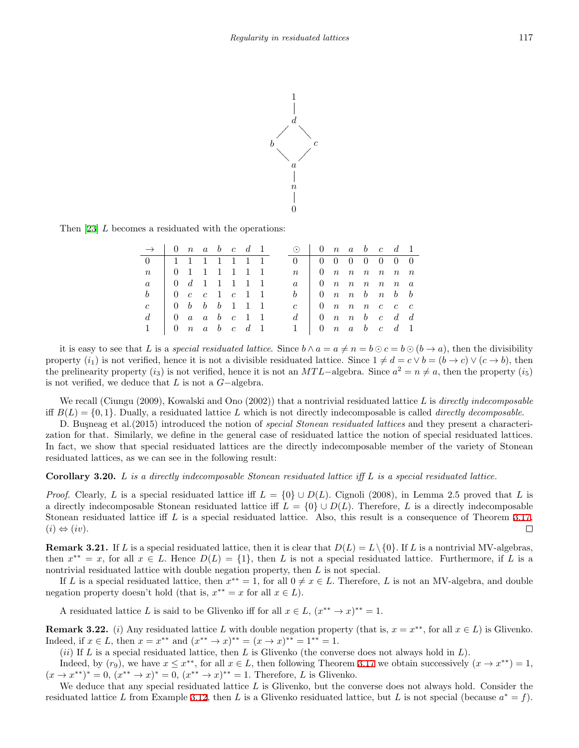

Then [[23\]](#page-18-5) *L* becomes a residuated with the operations:

| $\rightarrow$ 0 n a b c d 1 |                                                                                  |                     |  |  |  | $\odot$ 0 n a b c d 1                                       |                                                                    |  |  |  |
|-----------------------------|----------------------------------------------------------------------------------|---------------------|--|--|--|-------------------------------------------------------------|--------------------------------------------------------------------|--|--|--|
|                             | 1 1 1 1 1 1 1                                                                    |                     |  |  |  | $0 \t 0 \t 0 \t 0 \t 0 \t 0 \t 0 \t 0$                      |                                                                    |  |  |  |
| $n_{\rm c}$                 | 0 1 1 1 1 1 1                                                                    |                     |  |  |  | $n_{\rm c}$                                                 | $\begin{array}{ccccccccc} & 0 & n & n & n & n & n & n \end{array}$ |  |  |  |
| $\mathfrak{a}$              | $\begin{array}{ccccccccccccccccccccc} 0 & d & 1 & 1 & 1 & 1 & 1 & 1 \end{array}$ |                     |  |  |  | $a \mid 0$ n n n n n a                                      |                                                                    |  |  |  |
|                             |                                                                                  | 0 $c$ $c$ 1 $c$ 1 1 |  |  |  |                                                             | $b \mid 0 \mid n \mid n \mid b \mid n \mid b \mid b$               |  |  |  |
| $\epsilon$                  | $\begin{array}{ccccccccc} 0 & b & b & b & 1 & 1 & 1 \end{array}$                 |                     |  |  |  | $\epsilon$                                                  | $\vert$ 0 n n n c c c                                              |  |  |  |
| $d -$                       | $\begin{array}{ccccccccc}\n0 & a & a & b & c & 1 & 1\n\end{array}$               |                     |  |  |  | $d \mid 0 \mid n \mid n \mid b \mid c \mid d \mid d$        |                                                                    |  |  |  |
|                             |                                                                                  | 0 $n$ a b $c$ d 1   |  |  |  | $1 \quad 0 \quad n \quad a \quad b \quad c \quad d \quad 1$ |                                                                    |  |  |  |

it is easy to see that L is a special residuated lattice. Since  $b \wedge a = a \neq n = b \odot c = b \odot (b \rightarrow a)$ , then the divisibility property  $(i_1)$  is not verified, hence it is not a divisible residuated lattice. Since  $1 \neq d = c \vee b = (b \rightarrow c) \vee (c \rightarrow b)$ , then the prelinearity property  $(i_3)$  is not verified, hence it is not an *MTL*−algebra. Since  $a^2 = n \neq a$ , then the property  $(i_5)$ is not verified, we deduce that *L* is not a *G−*algebra.

We recall (Ciungu (2009), Kowalski and Ono (2002)) that a nontrivial residuated lattice *L* is *directly indecomposable* iff  $B(L) = \{0, 1\}$ . Dually, a residuated lattice L which is not directly indecomposable is called *directly decomposable*.

D. Busneag et al.(2015) introduced the notion of *special Stonean residuated lattices* and they present a characterization for that. Similarly, we define in the general case of residuated lattice the notion of special residuated lattices. In fact, we show that special residuated lattices are the directly indecomposable member of the variety of Stonean residuated lattices, as we can see in the following result:

<span id="page-10-0"></span>**Corollary 3.20.** *L is a directly indecomposable Stonean residuated lattice iff L is a special residuated lattice.*

*Proof.* Clearly, *L* is a special residuated lattice iff  $L = \{0\} \cup D(L)$ . Cignoli (2008), in Lemma 2.5 proved that *L* is a directly indecomposable Stonean residuated lattice iff  $L = \{0\} \cup D(L)$ . Therefore, *L* is a directly indecomposable Stonean residuated lattice iff *L* is a special residuated lattice. Also, this result is a consequence of Theorem [3.17](#page-9-0),  $(i) \Leftrightarrow (iv)$ .  $\Box$ 

<span id="page-10-1"></span>**Remark 3.21.** If *L* is a special residuated lattice, then it is clear that  $D(L) = L \setminus \{0\}$ . If *L* is a nontrivial MV-algebras, then  $x^{**} = x$ , for all  $x \in L$ . Hence  $D(L) = \{1\}$ , then L is not a special residuated lattice. Furthermore, if L is a nontrivial residuated lattice with double negation property, then *L* is not special.

If *L* is a special residuated lattice, then  $x^{**} = 1$ , for all  $0 \neq x \in L$ . Therefore, *L* is not an MV-algebra, and double negation property doesn't hold (that is,  $x^{**} = x$  for all  $x \in L$ ).

A residuated lattice *L* is said to be Glivenko iff for all  $x \in L$ ,  $(x^{**} \to x)^{**} = 1$ .

**Remark 3.22.** (*i*) Any residuated lattice *L* with double negation property (that is,  $x = x^{**}$ , for all  $x \in L$ ) is Glivenko. Indeed, if  $x \in L$ , then  $x = x^{**}$  and  $(x^{**} \to x)^{**} = (x \to x)^{**} = 1^{**} = 1$ .

(*ii*) If *L* is a special residuated lattice, then *L* is Glivenko (the converse does not always hold in *L*).

Indeed, by  $(r_9)$ , we have  $x \leq x^{**}$ , for all  $x \in L$ , then following Theorem [3.17](#page-9-0) we obtain successively  $(x \to x^{**}) = 1$ ,  $(x \to x^{**})^* = 0$ ,  $(x^{**} \to x)^* = 0$ ,  $(x^{**} \to x)^{**} = 1$ . Therefore, *L* is Glivenko.

We deduce that any special residuated lattice *L* is Glivenko, but the converse does not always hold. Consider the residuated lattice *L* from Example [3.12](#page-7-3), then *L* is a Glivenko residuated lattice, but *L* is not special (because  $a^* = f$ ).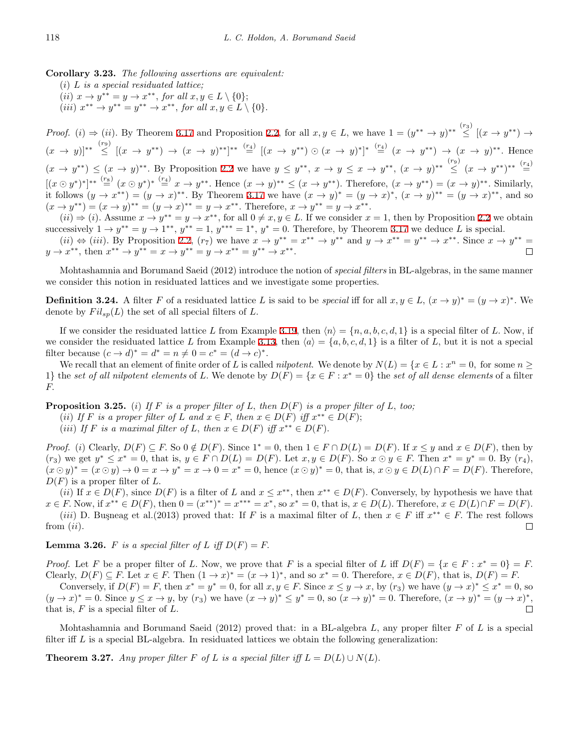**Corollary 3.23.** *The following assertions are equivalent:*

(*i*) *L is a special residuated lattice;*  $(iii)$   $x \to y^{**} = y \to x^{**},$  for all  $x, y \in L \setminus \{0\};$  $(iii)$   $x^{**} \to y^{**} = y^{**} \to x^{**}$ , for all  $x, y \in L \setminus \{0\}$ .

*Proof.* (i)  $\Rightarrow$  (ii). By Theorem [3.17](#page-9-0) and Proposition [2.2,](#page-2-3) for all  $x, y \in L$ , we have  $1 = (y^{**} \rightarrow y)^{**} \stackrel{(r_3)}{\leq} [(x \rightarrow y^{**}) \rightarrow$  $(x \to y)^{**} \stackrel{(r_9)}{\leq} [(x \to y^{**}) \to (x \to y)^{**}]^{**} \stackrel{(r_4)}{=} [(x \to y^{**}) \odot (x \to y)^{**}]^{*} \stackrel{(r_4)}{=} (x \to y^{**}) \to (x \to y)^{**}$ . Hence  $(x \to y^{**}) \le (x \to y)^{**}$ . By Proposition [2.2](#page-2-3) we have  $y \le y^{**}$ ,  $x \to y \le x \to y^{**}$ ,  $(x \to y)^{**} \le (x \to y^{**})^{**}$ .  $[(x \odot y^*)^*]^{**} \stackrel{(rs)}{=} (x \odot y^*)^* \stackrel{(r_4)}{=} x \rightarrow y^{**}$ . Hence  $(x \rightarrow y)^{**} \leq (x \rightarrow y^{**})$ . Therefore,  $(x \rightarrow y^{**}) = (x \rightarrow y)^{**}$ . Similarly, it follows  $(y \to x^{**}) = (y \to x)^{**}$ . By Theorem [3.17](#page-9-0) we have  $(x \to y)^* = (y \to x)^*$ ,  $(x \to y)^{**} = (y \to x)^{**}$ , and so  $(x \to y^{**}) = (x \to y)^{**} = (y \to x)^{**} = y \to x^{**}$ . Therefore,  $x \to y^{**} = y \to x^{**}$ .

 $(ii) \Rightarrow (i)$ . Assume  $x \rightarrow y^{**} = y \rightarrow x^{**}$ , for all  $0 \neq x, y \in L$ . If we consider  $x = 1$ , then by Proposition [2.2](#page-2-3) we obtain successively  $1 \rightarrow y^{**} = y \rightarrow 1^{**}, y^{**} = 1, y^{***} = 1^*, y^* = 0$ . Therefore, by Theorem [3.17](#page-9-0) we deduce *L* is special.

 $(ii) \Leftrightarrow (iii)$ . By Proposition [2.2,](#page-2-3)  $(r_7)$  we have  $x \to y^{**} = x^{**} \to y^{**}$  and  $y \to x^{**} = y^{**} \to x^{**}$ . Since  $x \to y^{**} = y^{**}$  $y \to x^{**}$ , then  $x^{**} \to y^{**} = x \to y^{**} = y \to x^{**} = y^{**} \to x^{**}$ .

Mohtashamnia and Borumand Saeid (2012) introduce the notion of *special filters* in BL-algebras, in the same manner we consider this notion in residuated lattices and we investigate some properties.

**Definition 3.24.** A filter F of a residuated lattice L is said to be *special* iff for all  $x, y \in L$ ,  $(x \to y)^* = (y \to x)^*$ . We denote by  $Fil_{sp}(L)$  the set of all special filters of  $L$ .

If we consider the residuated lattice L from Example [3.19,](#page-9-1) then  $\langle n \rangle = \{n, a, b, c, d, 1\}$  is a special filter of L. Now, if we consider the residuated lattice *L* from Example [3.13](#page-8-0), then  $\langle a \rangle = \{a, b, c, d, 1\}$  is a filter of *L*, but it is not a special filter because  $(c \to d)^* = d^* = n \neq 0 = c^* = (d \to c)^*$ .

We recall that an element of finite order of *L* is called *nilpotent*. We denote by  $N(L) = \{x \in L : x^n = 0, \text{ for some } n \geq 0\}$ 1} the *set of all nilpotent elements* of *L*. We denote by  $D(F) = \{x \in F : x^* = 0\}$  the *set of all dense elements* of a filter *F.*

<span id="page-11-2"></span>**Proposition 3.25.** (*i*) If F is a proper filter of L, then  $D(F)$  is a proper filter of L, too;

(*ii*) If *F* is a proper filter of *L* and  $x \in F$ , then  $x \in D(F)$  iff  $x^{**} \in D(F)$ ;

(*iii*) If *F* is a maximal filter of *L*, then  $x \in D(F)$  iff  $x^{**} \in D(F)$ .

*Proof.* (i) Clearly,  $D(F) \subseteq F$ . So  $0 \notin D(F)$ . Since  $1^* = 0$ , then  $1 \in F \cap D(L) = D(F)$ . If  $x \leq y$  and  $x \in D(F)$ , then by  $(r_3)$  we get  $y^* \le x^* = 0$ , that is,  $y \in F \cap D(L) = D(F)$ . Let  $x, y \in D(F)$ . So  $x \odot y \in F$ . Then  $x^* = y^* = 0$ . By  $(r_4)$ ,  $(x \odot y)^* = (x \odot y) \rightarrow 0 = x \rightarrow y^* = x \rightarrow 0 = x^* = 0$ , hence  $(x \odot y)^* = 0$ , that is,  $x \odot y \in D(L) \cap F = D(F)$ . Therefore,  $D(F)$  is a proper filter of  $L$ .

(*ii*) If  $x \in D(F)$ , since  $D(F)$  is a filter of L and  $x \leq x^{**}$ , then  $x^{**} \in D(F)$ . Conversely, by hypothesis we have that  $x \in F$ . Now, if  $x^{**} \in D(F)$ , then  $0 = (x^{**})^* = x^{***} = x^*$ , so  $x^* = 0$ , that is,  $x \in D(L)$ . Therefore,  $x \in D(L) \cap F = D(F)$ . (*iii*) D. Buşneag et al.(2013) proved that: If *F* is a maximal filter of *L*, then  $x \in F$  iff  $x^{**} \in F$ . The rest follows from (*ii*)*.*  $\Box$ 

<span id="page-11-0"></span>**Lemma 3.26.** *F is a special filter of L iff*  $D(F) = F$ .

*Proof.* Let *F* be a proper filter of *L*. Now, we prove that *F* is a special filter of *L* iff  $D(F) = \{x \in F : x^* = 0\} = F$ . Clearly,  $D(F) \subseteq F$ . Let  $x \in F$ . Then  $(1 \to x)^* = (x \to 1)^*$ , and so  $x^* = 0$ . Therefore,  $x \in D(F)$ , that is,  $D(F) = F$ .

Conversely, if  $D(F) = F$ , then  $x^* = y^* = 0$ , for all  $x, y \in F$ . Since  $x \le y \to x$ , by  $(r_3)$  we have  $(y \to x)^* \le x^* = 0$ , so  $(y \to x)^* = 0$ . Since  $y \le x \to y$ , by  $(r_3)$  we have  $(x \to y)^* \le y^* = 0$ , so  $(x \to y)^* = 0$ . Therefore,  $(x \to y)^* = (y \to x)^*$ , that is, *F* is a special filter of *L.*

Mohtashamnia and Borumand Saeid (2012) proved that: in a BL-algebra *L,* any proper filter *F* of *L* is a special filter iff *L* is a special BL-algebra. In residuated lattices we obtain the following generalization:

<span id="page-11-1"></span>**Theorem 3.27.** *Any proper filter*  $F$  *of*  $L$  *is a special filter iff*  $L = D(L) \cup N(L)$ *.*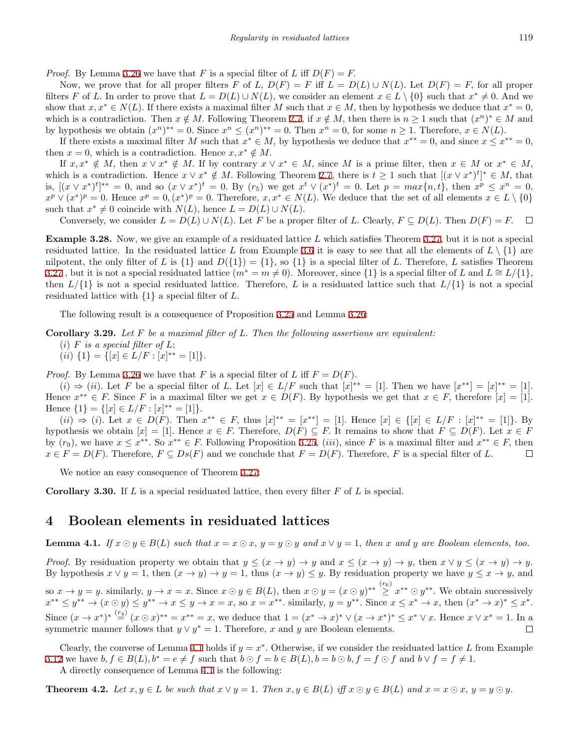*Proof.* By Lemma [3.26](#page-11-0) we have that *F* is a special filter of *L* iff  $D(F) = F$ .

Now, we prove that for all proper filters *F* of *L*,  $D(F) = F$  iff  $L = D(L) \cup N(L)$ . Let  $D(F) = F$ , for all proper filters F of L. In order to prove that  $L = D(L) \cup N(L)$ , we consider an element  $x \in L \setminus \{0\}$  such that  $x^* \neq 0$ . And we show that  $x, x^* \in N(L)$ . If there exists a maximal filter *M* such that  $x \in M$ , then by hypothesis we deduce that  $x^* = 0$ , which is a contradiction. Then  $x \notin M$ . Following Theorem [2.7](#page-3-0), if  $x \notin M$ , then there is  $n \geq 1$  such that  $(x^n)^* \in M$  and by hypothesis we obtain  $(x^n)^{**} = 0$ . Since  $x^n \le (x^n)^{**} = 0$ . Then  $x^n = 0$ , for some  $n \ge 1$ . Therefore,  $x \in N(L)$ .

If there exists a maximal filter M such that  $x^* \in M$ , by hypothesis we deduce that  $x^{**} = 0$ , and since  $x \leq x^{**} = 0$ , then  $x = 0$ , which is a contradiction. Hence  $x, x^* \notin M$ .

If  $x, x^* \notin M$ , then  $x \vee x^* \notin M$ . If by contrary  $x \vee x^* \in M$ , since M is a prime filter, then  $x \in M$  or  $x^* \in M$ , which is a contradiction. Hence  $x \vee x^* \notin M$ . Following Theorem [2.7,](#page-3-0) there is  $t \geq 1$  such that  $[(x \vee x^*)^t]^* \in M$ , that is,  $[(x \vee x^*)^t]^{**} = 0$ , and so  $(x \vee x^*)^t = 0$ . By  $(r_5)$  we get  $x^t \vee (x^*)^t = 0$ . Let  $p = max\{n, t\}$ , then  $x^p \le x^n = 0$ ,  $x^p \vee (x^*)^p = 0$ . Hence  $x^p = 0$ ,  $(x^*)^p = 0$ . Therefore,  $x, x^* \in N(L)$ . We deduce that the set of all elements  $x \in L \setminus \{0\}$ such that  $x^* \neq 0$  coincide with  $N(L)$ , hence  $L = D(L) \cup N(L)$ .

Conversely, we consider  $L = D(L) \cup N(L)$ . Let *F* be a proper filter of *L*. Clearly,  $F \subseteq D(L)$ . Then  $D(F) = F$ .  $\Box$ 

**Example 3.28.** Now, we give an example of a residuated lattice *L* which satisfies Theorem [3.27](#page-11-1), but it is not a special residuated lattice. In the residuated lattice L from Example [3.6](#page-6-1) it is easy to see that all the elements of  $L \setminus \{1\}$  are nilpotent, the only filter of *L* is  $\{1\}$  and  $D(\{1\}) = \{1\}$ , so  $\{1\}$  is a special filter of *L*. Therefore, *L* satisfies Theorem [3.27](#page-11-1), but it is not a special residuated lattice  $(m^* = m \neq 0)$ . Moreover, since  $\{1\}$  is a special filter of *L* and  $L \cong L/\{1\}$ , then  $L/{1}$  is not a special residuated lattice. Therefore, *L* is a residuated lattice such that  $L/{1}$  is not a special residuated lattice with *{*1*}* a special filter of *L.*

The following result is a consequence of Proposition [3.25](#page-11-2) and Lemma [3.26:](#page-11-0)

**Corollary 3.29.** *Let F be a maximal filter of L. Then the following assertions are equivalent:*

- (*i*)  $F$  *is a special filter of*  $L$ *;*
- $(ii) \{1\} = \{ [x] \in L/F : [x]^{**} = [1] \}.$

*Proof.* By Lemma [3.26](#page-11-0) we have that *F* is a special filter of *L* iff  $F = D(F)$ .

 $(i) \Rightarrow (ii)$ . Let F be a special filter of L. Let  $[x] \in L/F$  such that  $[x]^{**} = [1]$ . Then we have  $[x^{**}] = [x]^{**} = [1]$ . Hence  $x^{**} \in F$ . Since F is a maximal filter we get  $x \in D(F)$ . By hypothesis we get that  $x \in F$ , therefore  $[x] = [1]$ .  $Hence \{1\} = \{ [x] \in L/F : [x]^{**} = [1] \}.$ 

 $(ii) \Rightarrow (i)$ . Let  $x \in D(F)$ . Then  $x^{**} \in F$ , thus  $[x]^{**} = [x^{**}] = [1]$ . Hence  $[x] \in \{[x] \in L/F : [x]^{**} = [1]\}$ . By hypothesis we obtain  $[x] = [1]$ . Hence  $x \in F$ . Therefore,  $D(F) \subseteq F$ . It remains to show that  $F \subseteq D(F)$ . Let  $x \in F$ by  $(r_9)$ , we have  $x \leq x^{**}$ . So  $x^{**} \in F$ . Following Proposition [3.25](#page-11-2), *(iii)*, since F is a maximal filter and  $x^{**} \in F$ , then  $x \in F = D(F)$ . Therefore,  $F \subseteq Ds(F)$  and we conclude that  $F = D(F)$ . Therefore, *F* is a special filter of *L*.  $\Box$ 

We notice an easy consequence of Theorem [3.27:](#page-11-1)

**Corollary 3.30.** If *L* is a special residuated lattice, then every filter *F* of *L* is special.

# **4 Boolean elements in residuated lattices**

<span id="page-12-0"></span>**Lemma 4.1.** If  $x \odot y \in B(L)$  such that  $x = x \odot x$ ,  $y = y \odot y$  and  $x \vee y = 1$ , then x and y are Boolean elements, too.

*Proof.* By residuation property we obtain that  $y \leq (x \to y) \to y$  and  $x \leq (x \to y) \to y$ , then  $x \lor y \leq (x \to y) \to y$ . By hypothesis  $x \vee y = 1$ , then  $(x \to y) \to y = 1$ , thus  $(x \to y) \le y$ . By residuation property we have  $y \le x \to y$ , and so  $x \to y = y$ . similarly,  $y \to x = x$ . Since  $x \odot y \in B(L)$ , then  $x \odot y = (x \odot y)^{**} \geq x^{**} \odot y^{**}$ . We obtain successively  $x^{**} \leq y^{**} \to (x \odot y) \leq y^{**} \to x \leq y \to x = x$ , so  $x = x^{**}$ . similarly,  $y = y^{**}$ . Since  $x \leq x^{*} \to x$ , then  $(x^{*} \to x)^{*} \leq x^{*}$ . Since  $(x \to x^*)^* \stackrel{(r_4)}{=} (x \odot x)^{**} = x^{**} = x$ , we deduce that  $1 = (x^* \to x)^* \vee (x \to x^*)^* \leq x^* \vee x$ . Hence  $x \vee x^* = 1$ . In a symmetric manner follows that  $y \vee y^* = 1$ . Therefore, *x* and *y* are Boolean elements.  $\Box$ 

Clearly, the converse of Lemma [4.1](#page-12-0) holds if  $y = x^*$ . Otherwise, if we consider the residuated lattice L from Example [3.12](#page-7-3) we have  $b, f \in B(L), b^* = e \neq f$  such that  $b \odot f = b \in B(L), b = b \odot b, f = f \odot f$  and  $b \vee f = f \neq 1$ . A directly consequence of Lemma [4.1](#page-12-0) is the following:

<span id="page-12-1"></span>**Theorem 4.2.** Let  $x, y \in L$  be such that  $x \vee y = 1$ . Then  $x, y \in B(L)$  iff  $x \odot y \in B(L)$  and  $x = x \odot x$ ,  $y = y \odot y$ .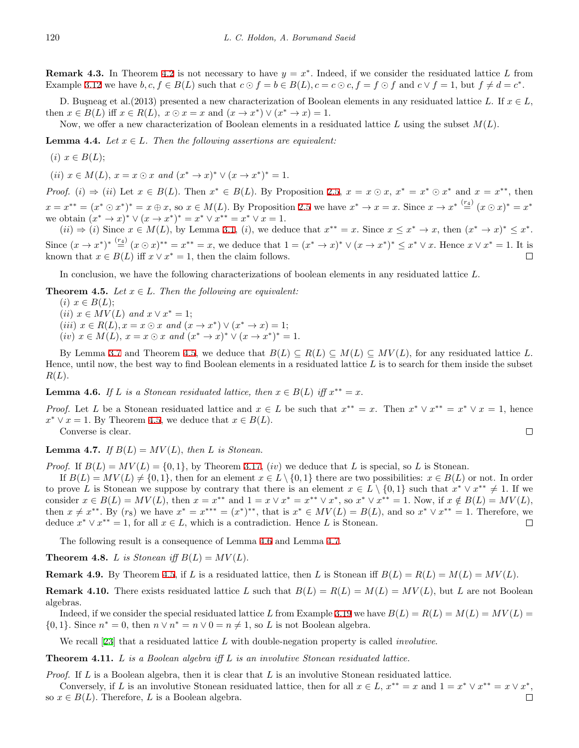**Remark 4.3.** In Theorem [4.2](#page-12-1) is not necessary to have  $y = x^*$ . Indeed, if we consider the residuated lattice L from Example [3.12](#page-7-3) we have  $b, c, f \in B(L)$  such that  $c \odot f = b \in B(L)$ ,  $c = c \odot c$ ,  $f = f \odot f$  and  $c \vee f = 1$ , but  $f \neq d = c^*$ .

D. Busneag et al.(2013) presented a new characterization of Boolean elements in any residuated lattice *L*. If  $x \in L$ , then  $x \in B(L)$  iff  $x \in R(L)$ ,  $x \odot x = x$  and  $(x \to x^*) \vee (x^* \to x) = 1$ .

Now, we offer a new characterization of Boolean elements in a residuated lattice *L* using the subset *M*(*L*)*.*

**Lemma 4.4.** *Let*  $x \in L$ *. Then the following assertions are equivalent:* 

 $(i)$   $x \in B(L);$ 

 $(ii)$   $x \in M(L)$ ,  $x = x \odot x$  and  $(x^* \rightarrow x)^* \vee (x \rightarrow x^*)^* = 1$ .

*Proof.* (i)  $\Rightarrow$  (ii) Let  $x \in B(L)$ . Then  $x^* \in B(L)$ . By Proposition [2.5](#page-3-1),  $x = x \odot x$ ,  $x^* = x^* \odot x^*$  and  $x = x^{**}$ , then  $x = x^{**} = (x^* \odot x^*)^* = x \oplus x$ , so  $x \in M(L)$ . By Proposition [2.5](#page-3-1) we have  $x^* \rightarrow x = x$ . Since  $x \rightarrow x^{*} \stackrel{(x_4)}{=} (x \odot x)^* = x^*$ we obtain  $(x^* \to x)^* \vee (x \to x^*)^* = x^* \vee x^{**} = x^* \vee x = 1$ .

 $(ii) \Rightarrow (i)$  Since  $x \in M(L)$ , by Lemma [3.1,](#page-4-0)  $(i)$ , we deduce that  $x^{**} = x$ . Since  $x \leq x^* \rightarrow x$ , then  $(x^* \rightarrow x)^* \leq x^*$ . Since  $(x \to x^*)^* \stackrel{(r_4)}{=} (x \odot x)^{**} = x^{**} = x$ , we deduce that  $1 = (x^* \to x)^* \vee (x \to x^*)^* \leq x^* \vee x$ . Hence  $x \vee x^* = 1$ . It is known that  $x \in B(L)$  iff  $x \vee x^* = 1$ , then the claim follows.  $\Box$ 

In conclusion, we have the following characterizations of boolean elements in any residuated lattice *L.*

<span id="page-13-0"></span>**Theorem 4.5.** *Let*  $x \in L$ . *Then the following are equivalent:* 

 $(i)$   $x \in B(L);$  $(ii)$   $x \in MV(L)$  and  $x \vee x^* = 1;$  $(iii)$   $x \in R(L), x = x \odot x$  and  $(x \to x^*) \vee (x^* \to x) = 1;$  $(iv)$   $x \in M(L)$ ,  $x = x \odot x$  and  $(x^* \rightarrow x)^* \vee (x \rightarrow x^*)^* = 1$ .

By Lemma [3.7](#page-6-0) and Theorem [4.5](#page-13-0), we deduce that  $B(L) \subseteq R(L) \subseteq M(L) \subseteq MV(L)$ , for any residuated lattice *L*. Hence, until now, the best way to find Boolean elements in a residuated lattice *L* is to search for them inside the subset *R*(*L*)*.*

<span id="page-13-1"></span>**Lemma 4.6.** *If L is a Stonean residuated lattice, then*  $x \in B(L)$  *iff*  $x^{**} = x$ .

*Proof.* Let L be a Stonean residuated lattice and  $x \in L$  be such that  $x^{**} = x$ . Then  $x^* \vee x^{**} = x^* \vee x = 1$ , hence  $x^* \vee x = 1$ . By Theorem [4.5](#page-13-0), we deduce that  $x \in B(L)$ .  $\Box$ 

Converse is clear.

<span id="page-13-2"></span>**Lemma 4.7.** *If*  $B(L) = MV(L)$ *, then L is Stonean.* 

*Proof.* If  $B(L) = MV(L) = \{0, 1\}$ , by Theorem [3.17,](#page-9-0) (*iv*) we deduce that *L* is special, so *L* is Stonean.

If  $B(L) = MV(L) \neq \{0,1\}$ , then for an element  $x \in L \setminus \{0,1\}$  there are two possibilities:  $x \in B(L)$  or not. In order to prove *L* is Stonean we suppose by contrary that there is an element  $x \in L \setminus \{0,1\}$  such that  $x^* \vee x^{**} \neq 1$ . If we consider  $x \in B(L) = MV(L)$ , then  $x = x^{**}$  and  $1 = x \vee x^* = x^{**} \vee x^*$ , so  $x^* \vee x^{**} = 1$ . Now, if  $x \notin B(L) = MV(L)$ , then  $x \neq x^{**}$ . By  $(r_8)$  we have  $x^* = x^{***} = (x^*)^{**}$ , that is  $x^* \in MV(L) = B(L)$ , and so  $x^* \vee x^{**} = 1$ . Therefore, we deduce  $x^* \vee x^{**} = 1$ , for all  $x \in L$ , which is a contradiction. Hence *L* is Stonean.  $\Box$ 

The following result is a consequence of Lemma [4.6](#page-13-1) and Lemma [4.7.](#page-13-2)

<span id="page-13-3"></span>**Theorem 4.8.** *L* is Stonean iff  $B(L) = MV(L)$ .

**Remark 4.9.** By Theorem [4.5](#page-13-0), if *L* is a residuated lattice, then *L* is Stonean iff  $B(L) = R(L) = M(L) = MV(L)$ .

**Remark 4.10.** There exists residuated lattice *L* such that  $B(L) = R(L) = M(L) = MV(L)$ , but *L* are not Boolean algebras.

Indeed, if we consider the special residuated lattice *L* from Example [3.19](#page-9-1) we have  $B(L) = R(L) = M(L) = MV(L)$  $\{0,1\}$ *.* Since  $n^* = 0$ , then  $n \vee n^* = n \vee 0 = n \neq 1$ , so *L* is not Boolean algebra.

We recall [[23\]](#page-18-5) that a residuated lattice *L* with double-negation property is called *involutive*.

<span id="page-13-4"></span>**Theorem 4.11.** *L is a Boolean algebra iff L is an involutive Stonean residuated lattice.*

*Proof.* If *L* is a Boolean algebra, then it is clear that *L* is an involutive Stonean residuated lattice.

Conversely, if L is an involutive Stonean residuated lattice, then for all  $x \in L$ ,  $x^{**} = x$  and  $1 = x^* \vee x^{**} = x \vee x^*$ , so  $x \in B(L)$ . Therefore, *L* is a Boolean algebra.  $\Box$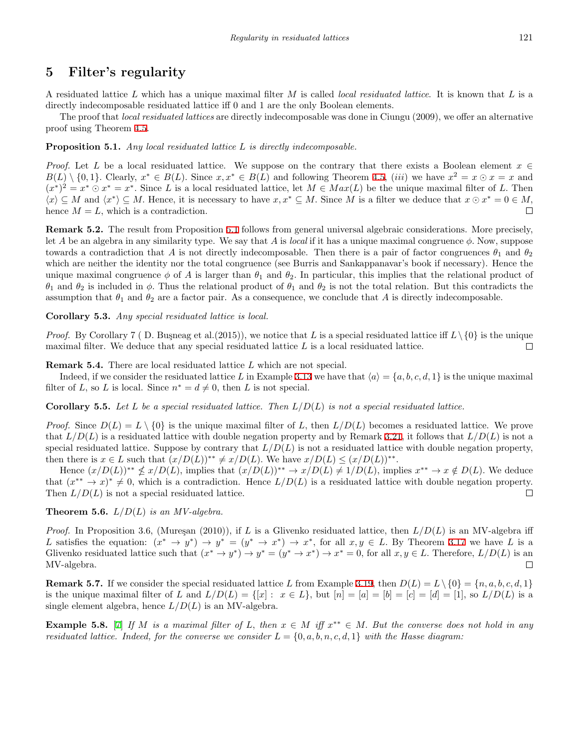# **5 Filter's regularity**

A residuated lattice *L* which has a unique maximal filter *M* is called *local residuated lattice*. It is known that *L* is a directly indecomposable residuated lattice iff 0 and 1 are the only Boolean elements.

The proof that *local residuated lattices* are directly indecomposable was done in Ciungu (2009), we offer an alternative proof using Theorem [4.5](#page-13-0).

#### <span id="page-14-0"></span>**Proposition 5.1.** *Any local residuated lattice L is directly indecomposable.*

*Proof.* Let *L* be a local residuated lattice. We suppose on the contrary that there exists a Boolean element  $x \in$  $B(L) \setminus \{0,1\}.$  Clearly,  $x^* \in B(L)$ . Since  $x, x^* \in B(L)$  and following Theorem [4.5,](#page-13-0) *(iii)* we have  $x^2 = x \odot x = x$  and  $(x^*)^2 = x^* \odot x^* = x^*$ . Since L is a local residuated lattice, let  $M \in Max(L)$  be the unique maximal filter of L. Then  $\langle x \rangle \subseteq M$  and  $\langle x^* \rangle \subseteq M$ . Hence, it is necessary to have  $x, x^* \subseteq M$ . Since M is a filter we deduce that  $x \odot x^* = 0 \in M$ , hence  $M = L$ , which is a contradiction.  $\Box$ 

**Remark 5.2.** The result from Proposition [5.1](#page-14-0) follows from general universal algebraic considerations. More precisely, let *A* be an algebra in any similarity type. We say that *A* is *local* if it has a unique maximal congruence *ϕ.* Now, suppose towards a contradiction that *A* is not directly indecomposable. Then there is a pair of factor congruences  $\theta_1$  and  $\theta_2$ which are neither the identity nor the total congruence (see Burris and Sankappanavar's book if necessary). Hence the unique maximal congruence  $\phi$  of A is larger than  $\theta_1$  and  $\theta_2$ . In particular, this implies that the relational product of  $θ_1$  and  $θ_2$  is included in  $φ$ . Thus the relational product of  $θ_1$  and  $θ_2$  is not the total relation. But this contradicts the assumption that  $\theta_1$  and  $\theta_2$  are a factor pair. As a consequence, we conclude that A is directly indecomposable.

**Corollary 5.3.** *Any special residuated lattice is local.*

*Proof.* By Corollary 7 (D. Busneag et al. (2015)), we notice that L is a special residuated lattice iff  $L \setminus \{0\}$  is the unique maximal filter. We deduce that any special residuated lattice *L* is a local residuated lattice.  $\Box$ 

**Remark 5.4.** There are local residuated lattice *L* which are not special.

Indeed, if we consider the residuated lattice L in Example [3.13](#page-8-0) we have that  $\langle a \rangle = \{a, b, c, d, 1\}$  is the unique maximal filter of *L*, so *L* is local. Since  $n^* = d \neq 0$ , then *L* is not special.

**Corollary 5.5.** *Let L be a special residuated lattice. Then L/D*(*L*) *is not a special residuated lattice.*

*Proof.* Since  $D(L) = L \setminus \{0\}$  is the unique maximal filter of *L*, then  $L/D(L)$  becomes a residuated lattice. We prove that  $L/D(L)$  is a residuated lattice with double negation property and by Remark [3.21,](#page-10-1) it follows that  $L/D(L)$  is not a special residuated lattice. Suppose by contrary that  $L/D(L)$  is not a residuated lattice with double negation property, then there is  $x \in L$  such that  $(x/D(L))^{**} \neq x/D(L)$ . We have  $x/D(L) \leq (x/D(L))^{**}$ .

Hence  $(x/D(L))^{**} \nleq x/D(L)$ , implies that  $(x/D(L))^{**} \to x/D(L) \neq 1/D(L)$ , implies  $x^{**} \to x \notin D(L)$ . We deduce that  $(x^{**} \to x)^* \neq 0$ , which is a contradiction. Hence  $L/D(L)$  is a residuated lattice with double negation property. Then  $L/D(L)$  is not a special residuated lattice.  $\Box$ 

**Theorem 5.6.**  $L/D(L)$  *is an MV-algebra.* 

*Proof.* In Proposition 3.6, (Mureşan (2010)), if *L* is a Glivenko residuated lattice, then  $L/D(L)$  is an MV-algebra iff L satisfies the equation:  $(x^* \to y^*) \to y^* = (y^* \to x^*) \to x^*$ , for all  $x, y \in L$ . By Theorem [3.17](#page-9-0) we have L is a Glivenko residuated lattice such that  $(x^* \to y^*) \to y^* = (y^* \to x^*) \to x^* = 0$ , for all  $x, y \in L$ . Therefore,  $L/D(L)$  is an MV-algebra.  $\Box$ 

**Remark 5.7.** If we consider the special residuated lattice *L* from Example [3.19](#page-9-1), then  $D(L) = L \setminus \{0\} = \{n, a, b, c, d, 1\}$ is the unique maximal filter of L and  $L/D(L) = \{ [x] : x \in L \}$ , but  $[n] = [a] = [b] = [c] = [d] = [1]$ , so  $L/D(L)$  is a single element algebra, hence  $L/D(L)$  is an MV-algebra.

<span id="page-14-1"></span>**Example 5.8.** [[7\]](#page-18-6) *If M is a maximal filter of L, then*  $x \in M$  *iff*  $x^{**} \in M$ . But the converse does not hold in any *residuated lattice. Indeed, for the converse we consider*  $L = \{0, a, b, n, c, d, 1\}$  *with the Hasse diagram:*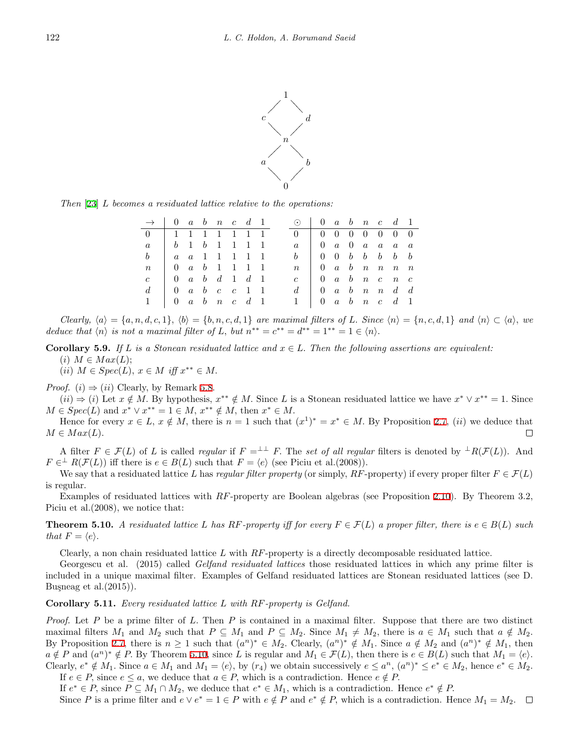

*Then* [[23\]](#page-18-5) *L becomes a residuated lattice relative to the operations:*

| $\rightarrow$ 0 a b n c d 1                                |                                                                        |  |  |  | $\odot$ 0 a b n c d 1                                       |                                                                        |  |  |  |
|------------------------------------------------------------|------------------------------------------------------------------------|--|--|--|-------------------------------------------------------------|------------------------------------------------------------------------|--|--|--|
| 0 1 1 1 1 1 1 1 1                                          |                                                                        |  |  |  | $0 \quad 0 \quad 0 \quad 0 \quad 0 \quad 0 \quad 0 \quad 0$ |                                                                        |  |  |  |
| $a -$                                                      |                                                                        |  |  |  |                                                             | $a \quad \begin{array}{cccccc} 0 & a & 0 & a & a & a \end{array}$      |  |  |  |
|                                                            |                                                                        |  |  |  | $\mathbf{b}$                                                | $\begin{array}{ccccccccc} & & 0 & 0 & b & b & b & b & b \end{array}$   |  |  |  |
| $n \mid 0 \quad a \quad b \quad 1 \quad 1 \quad 1 \quad 1$ |                                                                        |  |  |  | n                                                           | $\begin{array}{ccccccccc} \n & 0 & a & b & n & n & n & n\n\end{array}$ |  |  |  |
| $c -$                                                      | $\begin{array}{ccccccccc} \n & 0 & a & b & d & 1 & d & 1\n\end{array}$ |  |  |  |                                                             | $\begin{array}{ccccccccc} 0 & a & b & n & c & n & c \end{array}$       |  |  |  |
| $d =$                                                      | $\begin{array}{ccccccccc}\n0 & a & b & c & c & 1 & 1\n\end{array}$     |  |  |  |                                                             | $d \mid 0 \quad a \quad b \quad n \quad n \quad d \quad d$             |  |  |  |
|                                                            | $\begin{array}{ccccccccc} 0 & a & b & n & c & d & 1 \end{array}$       |  |  |  | $1 \mid 0 \quad a \quad b \quad n \quad c \quad d \quad 1$  |                                                                        |  |  |  |

Clearly,  $\langle a \rangle = \{a, n, d, c, 1\}, \langle b \rangle = \{b, n, c, d, 1\}$  are maximal filters of L. Since  $\langle n \rangle = \{n, c, d, 1\}$  and  $\langle n \rangle \subset \langle a \rangle$ , we *deduce that*  $\langle n \rangle$  *is not a maximal filter of L, but*  $n^{**} = c^{**} = d^{**} = 1^{**} = 1 \in \langle n \rangle$ *.* 

**Corollary 5.9.** *If*  $L$  *is a Stonean residuated lattice and*  $x \in L$ . *Then the following assertions are equivalent:*  $(i)$   $M \in Max(L);$ 

 $(iii)$   $M \in Spec(L), x \in M$  *iff*  $x^{**} \in M$ .

*Proof.* (*i*)  $\Rightarrow$  (*ii*) Clearly, by Remark [5.8.](#page-14-1)

 $(ii) \Rightarrow (i)$  Let  $x \notin M$ . By hypothesis,  $x^{**} \notin M$ . Since L is a Stonean residuated lattice we have  $x^* \vee x^{**} = 1$ . Since  $M \in Spec(L)$  and  $x^* \vee x^{**} = 1 \in M$ ,  $x^{**} \notin M$ , then  $x^* \in M$ .

Hence for every  $x \in L$ ,  $x \notin M$ , there is  $n = 1$  such that  $(x^1)^* = x^* \in M$ . By Proposition [2.7](#page-3-0), *(ii)* we deduce that  $M \in Max(L)$ .  $\Box$ 

A filter  $F \in \mathcal{F}(L)$  of *L* is called *regular* if  $F = L^{\perp}F$ . The *set of all regular* filters is denoted by  $\perp R(\mathcal{F}(L))$ . And  $F \in H^{\perp}(F(L))$  iff there is  $e \in B(L)$  such that  $F = \langle e \rangle$  (see Piciu et al.(2008)).

We say that a residuated lattice *L* has *regular filter property* (or simply,  $RF$ -property) if every proper filter  $F \in \mathcal{F}(L)$ is regular.

Examples of residuated lattices with *RF*-property are Boolean algebras (see Proposition [2.10](#page-4-2)). By Theorem 3*.*2*,* Piciu et al.(2008), we notice that:

<span id="page-15-0"></span>**Theorem 5.10.** *A residuated lattice L has*  $RF$ -property iff for every  $F \in \mathcal{F}(L)$  *a proper filter, there is*  $e \in B(L)$  *such that*  $F = \langle e \rangle$ *.* 

Clearly, a non chain residuated lattice *L* with *RF*-property is a directly decomposable residuated lattice.

Georgescu et al. (2015) called *Gelfand residuated lattices* those residuated lattices in which any prime filter is included in a unique maximal filter. Examples of Gelfand residuated lattices are Stonean residuated lattices (see D. Busneag et al. $(2015)$ ).

#### **Corollary 5.11.** *Every residuated lattice L with RF-property is Gelfand.*

*Proof.* Let *P* be a prime filter of *L.* Then *P* is contained in a maximal filter. Suppose that there are two distinct maximal filters  $M_1$  and  $M_2$  such that  $P \subseteq M_1$  and  $P \subseteq M_2$ . Since  $M_1 \neq M_2$ , there is  $a \in M_1$  such that  $a \notin M_2$ . By Proposition [2.7](#page-3-0), there is  $n \geq 1$  such that  $(a^n)^* \in M_2$ . Clearly,  $(a^n)^* \notin M_1$ . Since  $a \notin M_2$  and  $(a^n)^* \notin M_1$ , then  $a \notin P$  and  $(a^n)^* \notin P$ . By Theorem [5.10,](#page-15-0) since L is regular and  $M_1 \in \mathcal{F}(L)$ , then there is  $e \in B(L)$  such that  $M_1 = \langle e \rangle$ . Clearly,  $e^* \notin M_1$ . Since  $a \in M_1$  and  $M_1 = \langle e \rangle$ , by  $(r_4)$  we obtain successively  $e \le a^n$ ,  $(a^n)^* \le e^* \in M_2$ , hence  $e^* \in M_2$ .

If  $e \in P$ , since  $e \leq a$ , we deduce that  $a \in P$ , which is a contradiction. Hence  $e \notin P$ .

If  $e^* \in P$ , since  $P \subseteq M_1 \cap M_2$ , we deduce that  $e^* \in M_1$ , which is a contradiction. Hence  $e^* \notin P$ . Since P is a prime filter and  $e \vee e^* = 1 \in P$  with  $e \notin P$  and  $e^* \notin P$ , which is a contradiction. Hence  $M_1 = M_2$ .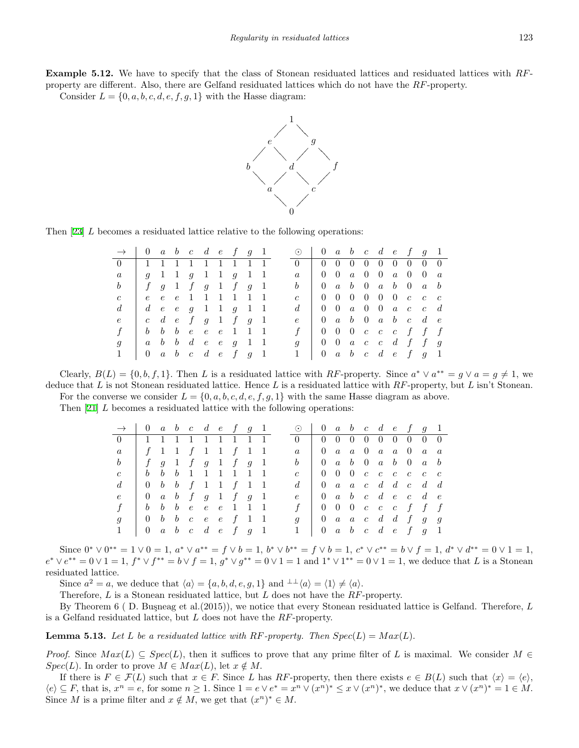**Example 5.12.** We have to specify that the class of Stonean residuated lattices and residuated lattices with *RF*property are different. Also, there are Gelfand residuated lattices which do not have the *RF*-property.

Consider  $L = \{0, a, b, c, d, e, f, g, 1\}$  with the Hasse diagram:



Then [[23\]](#page-18-5) *L* becomes a residuated lattice relative to the following operations:

| $\rightarrow$ 0 a b c d e f g 1 |                     |  |  |                                                                     |  | $\odot$   0 a b c d e f g 1                                                        |                                                                                    |  |  |  |                                     |  |
|---------------------------------|---------------------|--|--|---------------------------------------------------------------------|--|------------------------------------------------------------------------------------|------------------------------------------------------------------------------------|--|--|--|-------------------------------------|--|
| $0 \quad \square$               | 1 1 1 1 1 1 1 1 1   |  |  |                                                                     |  | $0 \perp$                                                                          |                                                                                    |  |  |  | $0 \t0 \t0 \t0 \t0 \t0 \t0 \t0 \t0$ |  |
|                                 |                     |  |  | g 1 1 g 1 1 g 1 1                                                   |  | $\overline{a}$                                                                     |                                                                                    |  |  |  |                                     |  |
| b                               | $f$ g 1 f g 1 f g 1 |  |  |                                                                     |  | $b \begin{array}{ccccccccccccc} b & 0 & a & b & 0 & a & b & 0 & a & b \end{array}$ |                                                                                    |  |  |  |                                     |  |
| $\mathfrak{c}$                  |                     |  |  | e e e 1 1 1 1 1 1                                                   |  |                                                                                    |                                                                                    |  |  |  |                                     |  |
|                                 |                     |  |  | $d \quad e \quad e \quad g \quad 1 \quad 1 \quad g \quad 1 \quad 1$ |  |                                                                                    |                                                                                    |  |  |  | $0$ 0 a 0 0 a c c d                 |  |
| $\epsilon$                      |                     |  |  | c d e f g $1$ f g $1$                                               |  |                                                                                    | $e \begin{bmatrix} 0 & a & b & 0 & a & b & c & d & e \end{bmatrix}$                |  |  |  |                                     |  |
|                                 |                     |  |  | b b b e e e 1 1 1                                                   |  |                                                                                    | $f \begin{array}{ccccccccccccc} f & 0 & 0 & 0 & c & c & c & f & f & f \end{array}$ |  |  |  |                                     |  |
|                                 | a b b d e e g 1 1   |  |  |                                                                     |  |                                                                                    | $g \begin{array}{ ccc } g & 0 & 0 & a & c & c & d & f & f & g \end{array}$         |  |  |  |                                     |  |
|                                 | 0 a b c d e f g 1   |  |  |                                                                     |  |                                                                                    | $1 \quad 0 \quad a \quad b \quad c \quad d \quad e \quad f \quad g \quad 1$        |  |  |  |                                     |  |

Clearly,  $B(L) = \{0, b, f, 1\}$ . Then L is a residuated lattice with RF-property. Since  $a^* \vee a^{**} = g \vee a = g \neq 1$ , we deduce that *L* is not Stonean residuated lattice. Hence *L* is a residuated lattice with *RF*-property, but *L* isn't Stonean. For the converse we consider  $L = \{0, a, b, c, d, e, f, g, 1\}$  with the same Hasse diagram as above.

Then [[21\]](#page-18-7) *L* becomes a residuated lattice with the following operations:

| $\rightarrow$ 0 a b c d e f g 1 |                                                                                    |  |  |  |  |  | $\odot$ 0 a b c d e f g 1                                                          |  |  |  |  |
|---------------------------------|------------------------------------------------------------------------------------|--|--|--|--|--|------------------------------------------------------------------------------------|--|--|--|--|
| 0 1 1 1 1 1 1 1 1 1             |                                                                                    |  |  |  |  |  | $0 \t 0 \t 0 \t 0 \t 0 \t 0 \t 0 \t 0 \t 0$                                        |  |  |  |  |
|                                 |                                                                                    |  |  |  |  |  | $a \quad \begin{array}{ ccc } a & a & b & a & a & b & a \end{array}$               |  |  |  |  |
|                                 | $\begin{array}{ccccccccccccccccc} & f & g & 1 & f & g & 1 & f & g & 1 \end{array}$ |  |  |  |  |  | $b \begin{array}{ccccccccccccc} b & 0 & a & b & 0 & a & b & 0 & a & b \end{array}$ |  |  |  |  |
|                                 | <i>b b b</i> 1 1 1 1 1 1                                                           |  |  |  |  |  | $c \begin{array}{c cccccc} c & 0 & 0 & 0 & c & c & c & c & c \end{array}$          |  |  |  |  |
| $d_{\cdot}$                     | 0 <i>b b f</i> 1 1 <i>f</i> 1 1                                                    |  |  |  |  |  | $d \mid 0$ a a c d d c d d                                                         |  |  |  |  |
| $\epsilon$                      | $\begin{array}{ccccccccc} \vert & 0 & a & b & f & g & 1 & f & g & 1 \end{array}$   |  |  |  |  |  | $e \quad 0 \quad a \quad b \quad c \quad d \quad e \quad c \quad d \quad e$        |  |  |  |  |
|                                 | b b b e e e 1 1 1                                                                  |  |  |  |  |  | $f \quad 0 \quad 0 \quad 0 \quad c \quad c \quad c \quad f \quad f \quad f$        |  |  |  |  |
|                                 |                                                                                    |  |  |  |  |  | $g \begin{array}{c cccccc} g & 0 & a & a & c & d & d & f & g & g \end{array}$      |  |  |  |  |
|                                 | $0 \quad a \quad b \quad c \quad d \quad e \quad f \quad g \quad 1$                |  |  |  |  |  | $1 \quad 0 \quad a \quad b \quad c \quad d \quad e \quad f \quad g \quad 1$        |  |  |  |  |

Since  $0^* \vee 0^{**} = 1 \vee 0 = 1$ ,  $a^* \vee a^{**} = f \vee b = 1$ ,  $b^* \vee b^{**} = f \vee b = 1$ ,  $c^* \vee c^{**} = b \vee f = 1$ ,  $d^* \vee d^{**} = 0 \vee 1 = 1$ ,  $e^* \vee e^{**} = 0 \vee 1 = 1$ ,  $f^* \vee f^{**} = b \vee f = 1$ ,  $g^* \vee g^{**} = 0 \vee 1 = 1$  and  $1^* \vee 1^{**} = 0 \vee 1 = 1$ , we deduce that L is a Stonean residuated lattice.

Since  $a^2 = a$ , we deduce that  $\langle a \rangle = \{a, b, d, e, g, 1\}$  and  $\lambda \downarrow \langle a \rangle = \langle 1 \rangle \neq \langle a \rangle$ *.* 

Therefore, *L* is a Stonean residuated lattice, but *L* does not have the *RF*-property.

By Theorem 6 (D. Busneag et al. (2015)), we notice that every Stonean residuated lattice is Gelfand. Therefore, L is a Gelfand residuated lattice, but *L* does not have the *RF*-property.

<span id="page-16-0"></span>**Lemma 5.13.** Let L be a residuated lattice with  $RF$ -property. Then  $Spec(L) = Max(L)$ .

*Proof.* Since  $Max(L) \subseteq Spec(L)$ , then it suffices to prove that any prime filter of L is maximal. We consider  $M \in$ *Spec*(*L*)*.* In order to prove  $M \in Max(L)$ , let  $x \notin M$ .

If there is  $F \in \mathcal{F}(L)$  such that  $x \in F$ . Since L has RF-property, then there exists  $e \in B(L)$  such that  $\langle x \rangle = \langle e \rangle$ ,  $\langle e \rangle \subseteq F$ , that is,  $x^n = e$ , for some  $n \geq 1$ . Since  $1 = e \vee e^* = x^n \vee (x^n)^* \leq x \vee (x^n)^*$ , we deduce that  $x \vee (x^n)^* = 1 \in M$ . Since *M* is a prime filter and  $x \notin M$ , we get that  $(x^n)^* \in M$ .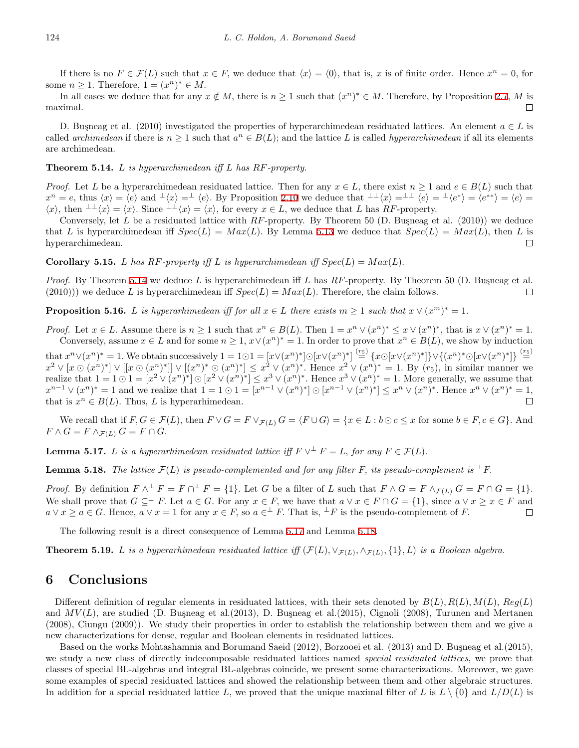If there is no  $F \in \mathcal{F}(L)$  such that  $x \in F$ , we deduce that  $\langle x \rangle = \langle 0 \rangle$ , that is, x is of finite order. Hence  $x^n = 0$ , for some  $n \geq 1$ . Therefore,  $1 = (x^n)^* \in M$ .

In all cases we deduce that for any  $x \notin M$ , there is  $n \geq 1$  such that  $(x^n)^* \in M$ . Therefore, by Proposition [2.7](#page-3-0), M is maximal.  $\Box$ 

D. Busneag et al. (2010) investigated the properties of hyperarchimedean residuated lattices. An element  $a \in L$  is called *archimedean* if there is  $n \geq 1$  such that  $a^n \in B(L)$ ; and the lattice *L* is called *hyperarchimedean* if all its elements are archimedean.

#### <span id="page-17-0"></span>**Theorem 5.14.** *L is hyperarchimedean iff L has RF-property.*

*Proof.* Let *L* be a hyperarchimedean residuated lattice. Then for any  $x \in L$ , there exist  $n \geq 1$  and  $e \in B(L)$  such that  $x^n = e$ , thus  $\langle x \rangle = \langle e \rangle$  and  $\langle x \rangle = \langle e \rangle$ . By Proposition [2.10](#page-4-2) we deduce that  $\langle x \rangle = \langle e \rangle = \langle e^* \rangle = \langle e^* \rangle = \langle e^* \rangle = \langle e \rangle = \langle e \rangle = \langle e \rangle$  $\langle x \rangle$ , then  $\perp \perp \langle x \rangle = \langle x \rangle$ . Since  $\perp \perp \langle x \rangle = \langle x \rangle$ , for every  $x \in L$ , we deduce that L has RF-property.

Conversely, let *L* be a residuated lattice with *RF*-property. By Theorem 50 (D. Buşneag et al. (2010)) we deduce that *L* is hyperarchimedean iff  $Spec(L) = Max(L)$ . By Lemma [5.13](#page-16-0) we deduce that  $Spec(L) = Max(L)$ , then *L* is hyperarchimedean.  $\Box$ 

**Corollary 5.15.** *L* has  $RF$ -property iff *L* is hyperarchimedean iff  $Spec(L) = Max(L)$ .

*Proof.* By Theorem [5.14](#page-17-0) we deduce *L* is hyperarchimedean iff *L* has *RF*-property. By Theorem 50 (D. Buşneag et al. (2010))) we deduce *L* is hyperarchimedean iff  $Spec(L) = Max(L)$ . Therefore, the claim follows.  $\Box$ 

**Proposition 5.16.** *L is hyperarhimedean iff for all*  $x \in L$  *there exists*  $m \ge 1$  *such that*  $x \vee (x^m)^* = 1$ *.* 

*Proof.* Let  $x \in L$ . Assume there is  $n \ge 1$  such that  $x^n \in B(L)$ . Then  $1 = x^n \vee (x^n)^* \le x \vee (x^n)^*$ , that is  $x \vee (x^n)^* = 1$ . Conversely, assume  $x \in L$  and for some  $n \geq 1$ ,  $x \vee (x^n)^* = 1$ . In order to prove that  $x^n \in B(L)$ , we show by induction

that  $x^n \vee (x^n)^* = 1$ . We obtain successively  $1 = 1 \odot 1 = [x \vee (x^n)^*] \odot [x \vee (x^n)^*] \stackrel{(r_5)}{=} \{x \odot [x \vee (x^n)^*]\} \vee \{(x^n)^* \odot [x \vee (x^n)^*]\} \stackrel{(r_5)}{=}$  $x^2 \vee [x \odot (x^n)^*] \vee [[x \odot (x^n)^*]] \vee [(x^n)^* \odot (x^n)^*] \leq x^2 \vee (x^n)^*$ . Hence  $x^2 \vee (x^n)^* = 1$ . By  $(r_5)$ , in similar manner we realize that  $1 = 1 \odot 1 = [x^2 \vee (x^n)^*] \odot [x^2 \vee (x^n)^*] \leq x^3 \vee (x^n)^*$ . Hence  $x^3 \vee (x^n)^* = 1$ . More generally, we assume that  $x^{n-1} \vee (x^n)^* = 1$  and we realize that  $1 = 1 \odot 1 = [x^{n-1} \vee (x^n)^*] \odot [x^{n-1} \vee (x^n)^*] \leq x^n \vee (x^n)^*$ . Hence  $x^n \vee (x^n)^* = 1$ , that is  $x^n \in B(L)$ . Thus, *L* is hyperarhimedean.  $\Box$ 

We recall that if  $F, G \in \mathcal{F}(L)$ , then  $F \vee G = F \vee_{\mathcal{F}(L)} G = \langle F \cup G \rangle = \{x \in L : b \odot c \leq x \text{ for some } b \in F, c \in G\}$ . And  $F \wedge G = F \wedge_{\mathcal{F}(L)} G = F \cap G$ .

<span id="page-17-1"></span>**Lemma 5.17.** *L* is a hyperarhimedean residuated lattice iff  $F \vee^{\perp} F = L$ , for any  $F \in \mathcal{F}(L)$ .

<span id="page-17-2"></span>**Lemma 5.18.** *The lattice*  $\mathcal{F}(L)$  *is pseudo-complemented and for any filter*  $F$ *, its pseudo-complement is*  $\perp F$ .

*Proof.* By definition  $F \wedge^{\perp} F = F \cap^{\perp} F = \{1\}$ . Let G be a filter of L such that  $F \wedge G = F \wedge_{\mathcal{F}(L)} G = F \cap G = \{1\}$ . We shall prove that  $G \subseteq^{\perp} F$ . Let  $a \in G$ . For any  $x \in F$ , we have that  $a \vee x \in F \cap G = \{1\}$ , since  $a \vee x \ge x \in F$  and  $a \vee x \ge a \in G$ . Hence,  $a \vee x = 1$  for any  $x \in F$ , so  $a \in F$ . That is,  $\overline{F}$  is the pseudo-complement of F.  $\Box$ 

The following result is a direct consequence of Lemma [5.17](#page-17-1) and Lemma [5.18.](#page-17-2)

**Theorem 5.19.** L is a hyperarhimedean residuated lattice iff  $(\mathcal{F}(L), \vee_{\mathcal{F}(L)}, \wedge_{\mathcal{F}(L)}, \{1\}, L)$  is a Boolean algebra.

### **6 Conclusions**

Different definition of regular elements in residuated lattices, with their sets denoted by  $B(L)$ ,  $R(L)$ ,  $M(L)$ ,  $Reg(L)$ and  $MV(L)$ , are studied (D. Busneag et al.(2013), D. Busneag et al.(2015), Cignoli (2008), Turunen and Mertanen (2008), Ciungu (2009)). We study their properties in order to establish the relationship between them and we give a new characterizations for dense, regular and Boolean elements in residuated lattices.

Based on the works Mohtashamnia and Borumand Saeid (2012), Borzooei et al. (2013) and D. Buşneag et al. (2015), we study a new class of directly indecomposable residuated lattices named *special residuated lattices*, we prove that classes of special BL-algebras and integral BL-algebras coincide, we present some characterizations. Moreover, we gave some examples of special residuated lattices and showed the relationship between them and other algebraic structures. In addition for a special residuated lattice L, we proved that the unique maximal filter of L is  $L \setminus \{0\}$  and  $L/D(L)$  is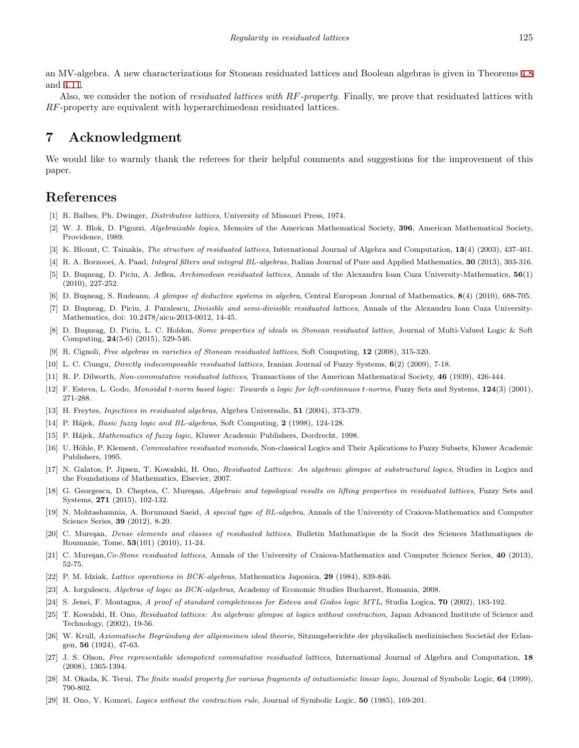an MV-algebra. A new characterizations for Stonean residuated lattices and Boolean algebras is given in Theorems [4.8](#page-13-3) and [4.11](#page-13-4).

Also, we consider the notion of *residuated lattices with RF-property*. Finally, we prove that residuated lattices with *RF*-property are equivalent with hyperarchimedean residuated lattices.

# **7 Acknowledgment**

We would like to warmly thank the referees for their helpful comments and suggestions for the improvement of this paper.

### **References**

- [1] R. Balbes, Ph. Dwinger, *Distributive lattices*, University of Missouri Press, 1974.
- [2] W. J. Blok, D. Pigozzi, *Algebraizable logics*, Memoirs of the American Mathematical Society, **396**, American Mathematical Society, Providence, 1989.
- [3] K. Blount, C. Tsinakis, *The structure of residuated lattices*, International Journal of Algebra and Computation, **13**(4) (2003), 437-461.
- [4] R. A. Borzooei, A. Paad, *Integral filters and integral BL-algebras*, Italian Journal of Pure and Applied Mathematics, **30** (2013), 303-316.
- [5] D. Bu¸sneag, D. Piciu, A. Jeflea, *Archimedean residuated lattices*, Annals of the Alexandru Ioan Cuza University-Mathematics, **56**(1) (2010), 227-252.
- [6] D. Bu¸sneag, S. Rudeanu, *A glimpse of deductive systems in algebra*, Central European Journal of Mathematics, **8**(4) (2010), 688-705.
- <span id="page-18-6"></span>[7] D. Busneag, D. Piciu, J. Paralescu, *Divisible and semi-divisible residuated lattices*, Annals of the Alexandru Ioan Cuza University-Mathematics, doi: 10.2478/aicu-2013-0012, 14-45.
- <span id="page-18-1"></span>[8] D. Bu¸sneag, D. Piciu, L. C. Holdon, *Some properties of ideals in Stonean residuated lattice*, Journal of Multi-Valued Logic & Soft Computing, **24**(5-6) (2015), 529-546.
- [9] R. Cignoli, *Free algebras in varieties of Stonean residuated lattices*, Soft Computing, **12** (2008), 315-320.
- [10] L. C. Ciungu, *Directly indecomposable residuated lattices*, Iranian Journal of Fuzzy Systems, **6**(2) (2009), 7-18.
- [11] R. P. Dilworth, *Non-commutative residuated lattices*, Transactions of the American Mathematical Society, **46** (1939), 426-444.
- [12] F. Esteva, L. Godo, *Monoidal t-norm based logic: Towards a logic for left-continnuos t-norms*, Fuzzy Sets and Systems, **124**(3) (2001), 271-288.
- <span id="page-18-3"></span>[13] H. Freytes, *Injectives in residuated algebras*, Algebra Universalis, **51** (2004), 373-379.
- <span id="page-18-2"></span>[14] P. H´ajek, *Basic fuzzy logic and BL-algebras*, Soft Computing, **2** (1998), 124-128.
- [15] P. H´ajek, *Mathematics of fuzzy logic*, Kluwer Academic Publishers, Dordrecht, 1998.
- [16] U. Höhle, P. Klement, *Commutative residuated monoids*, Non-classical Logics and Their Aplications to Fuzzy Subsets, Kluwer Academic Publishers, 1995.
- <span id="page-18-0"></span>[17] N. Galatos, P. Jipsen, T. Kowalski, H. Ono, *Residuated Lattices: An algebraic glimpse at substructural logics*, Studies in Logics and the Foundations of Mathematics, Elsevier, 2007.
- [18] G. Georgescu, D. Cheptea, C. Muresan, *Algebraic and topological results on lifting properties in residuated lattices*, Fuzzy Sets and Systems, **271** (2015), 102-132.
- [19] N. Mohtashamnia, A. Borumand Saeid, *A special type of BL-algebra*, Annals of the University of Craiova-Mathematics and Computer Science Series, **39** (2012), 8-20.
- [20] C. Muresan, *Dense elements and classes of residuated lattices*, Bulletin Mathmatique de la Socit des Sciences Mathmatiques de Roumanie, Tome, **53**(101) (2010), 11-24.
- <span id="page-18-7"></span>[21] C. Mureşan, Co-Stone residuated lattices, Annals of the University of Craiova-Mathematics and Computer Science Series, 40 (2013), 52-75.
- [22] P. M. Idziak, *Lattice operations in BCK-algebras*, Mathematica Japonica, **29** (1984), 839-846.
- <span id="page-18-5"></span>[23] A. Iorgulescu, *Algebras of logic as BCK-algebras*, Academy of Economic Studies Bucharest, Romania, 2008.
- [24] S. Jenei, F. Montagna, *A proof of standard completeness for Esteva and Godos logic MTL*, Studia Logica, **70** (2002), 183-192.
- <span id="page-18-4"></span>[25] T. Kowalski, H. Ono, *Residuated lattices: An algebraic glimpse at logics without contraction*, Japan Advanced Institute of Science and Technology, (2002), 19-56.
- [26] W. Krull, *Axiomatische Begründung der allgemeinen ideal theorie*, Sitzungsberichte der physikalisch medizinischen Societäd der Erlangen, **56** (1924), 47-63.
- [27] J. S. Olson, *Free representable idempotent commutative residuated lattices*, International Journal of Algebra and Computation, **18** (2008), 1365-1394.
- [28] M. Okada, K. Terui, *The finite model property for various fragments of intuitionistic linear logic*, Journal of Symbolic Logic, **64** (1999), 790-802.
- [29] H. Ono, Y. Komori, *Logics without the contraction rule*, Journal of Symbolic Logic, **50** (1985), 169-201.